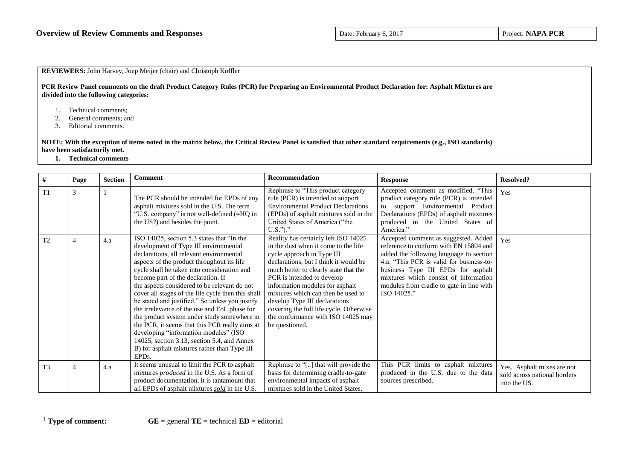| <b>REVIEWERS:</b> John Harvey, Joep Meijer (chair) and Christoph Koffler                                                                                                                    |  |
|---------------------------------------------------------------------------------------------------------------------------------------------------------------------------------------------|--|
| PCR Review Panel comments on the draft Product Category Rules (PCR) for Preparing an Environmental Product Declaration for: Asphalt Mixtures are<br>divided into the following categories:  |  |
| Technical comments;<br>General comments; and<br>Editorial comments.                                                                                                                         |  |
| NOTE: With the exception of items noted in the matrix below, the Critical Review Panel is satisfied that other standard requirements (e.g., ISO standards)<br>have been satisfactorily met. |  |
| <b>Technical comments</b>                                                                                                                                                                   |  |

| #              | Page | <b>Section</b> | Comment                                                                                                                                                                                                                                                                                                                                                                                                                                                                                                                                                                                                                                                                                                                                    | <b>Recommendation</b>                                                                                                                                                                                                                                                                                                                                                                                                                   | <b>Response</b>                                                                                                                                                                                                                                                                                                 | <b>Resolved?</b>                                                           |
|----------------|------|----------------|--------------------------------------------------------------------------------------------------------------------------------------------------------------------------------------------------------------------------------------------------------------------------------------------------------------------------------------------------------------------------------------------------------------------------------------------------------------------------------------------------------------------------------------------------------------------------------------------------------------------------------------------------------------------------------------------------------------------------------------------|-----------------------------------------------------------------------------------------------------------------------------------------------------------------------------------------------------------------------------------------------------------------------------------------------------------------------------------------------------------------------------------------------------------------------------------------|-----------------------------------------------------------------------------------------------------------------------------------------------------------------------------------------------------------------------------------------------------------------------------------------------------------------|----------------------------------------------------------------------------|
| T1             |      |                | The PCR should be intended for EPDs of any<br>asphalt mixtures sold in the U.S. The term<br>"U.S. company" is not well-defined (=HQ in<br>the US?) and besides the point.                                                                                                                                                                                                                                                                                                                                                                                                                                                                                                                                                                  | Rephrase to "This product category<br>rule (PCR) is intended to support<br><b>Environmental Product Declarations</b><br>(EPDs) of asphalt mixtures sold in the<br>United States of America ("the<br>$U.S.'$ )."                                                                                                                                                                                                                         | Accepted comment as modified. "This<br>product category rule (PCR) is intended<br>to support Environmental Product<br>Declarations (EPDs) of asphalt mixtures<br>produced in the United States of<br>America."                                                                                                  | Yes                                                                        |
| T <sub>2</sub> |      | 4.a            | ISO 14025, section 5.3 states that "In the<br>development of Type III environmental<br>declarations, all relevant environmental<br>aspects of the product throughout its life<br>cycle shall be taken into consideration and<br>become part of the declaration. If<br>the aspects considered to be relevant do not<br>cover all stages of the life cycle then this shall<br>be stated and justified." So unless you justify<br>the irrelevance of the use and EoL phase for<br>the product system under study somewhere in<br>the PCR, it seems that this PCR really aims at<br>developing "information modules" (ISO<br>14025, section 3.13, section 5.4, and Annex<br>B) for asphalt mixtures rather than Type III<br>EPD <sub>s</sub> . | Reality has certainly left ISO 14025<br>in the dust when it come to the life<br>cycle approach in Type III<br>declarations, but I think it would be<br>much better to clearly state that the<br>PCR is intended to develop<br>information modules for asphalt<br>mixtures which can then be used to<br>develop Type III declarations<br>covering the full life cycle. Otherwise<br>the conformance with ISO 14025 may<br>be questioned. | Accepted comment as suggested. Added<br>reference to conform with EN 15804 and<br>added the following language to section<br>4.a. "This PCR is valid for business-to-<br>business Type III EPDs for asphalt<br>mixtures which consist of information<br>modules from cradle to gate in line with<br>ISO 14025." | Yes                                                                        |
| T <sub>3</sub> |      | 4.a            | It seems unusual to limit the PCR to asphalt<br>mixtures <i>produced</i> in the U.S. As a form of<br>product documentation, it is tantamount that<br>all EPDs of asphalt mixtures sold in the U.S.                                                                                                                                                                                                                                                                                                                                                                                                                                                                                                                                         | Rephrase to "[] that will provide the<br>basis for determining cradle-to-gate<br>environmental impacts of asphalt<br>mixtures sold in the United States,                                                                                                                                                                                                                                                                                | This PCR limits to asphalt mixtures<br>produced in the U.S. due to the data<br>sources prescribed.                                                                                                                                                                                                              | Yes. Asphalt mixes are not<br>sold across national borders<br>into the US. |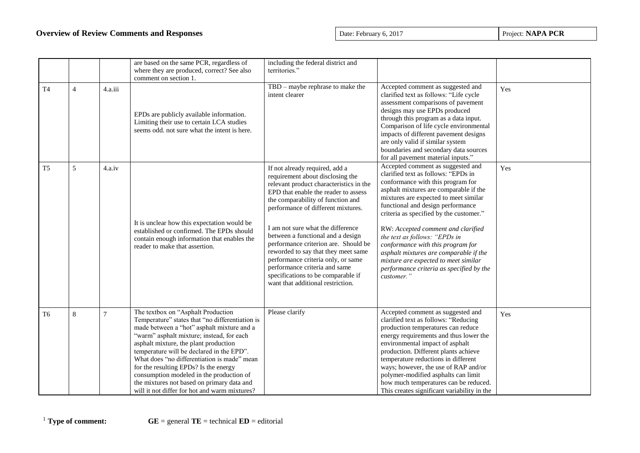| T <sub>4</sub> | $\overline{4}$ | 4.a.iii        | are based on the same PCR, regardless of<br>where they are produced, correct? See also<br>comment on section 1.<br>EPDs are publicly available information.<br>Limiting their use to certain LCA studies<br>seems odd, not sure what the intent is here.                                                                                                                                                                                                                                                  | including the federal district and<br>territories."<br>TBD - maybe rephrase to make the<br>intent clearer                                                                                                                                                                                                                                                                                                                                                                                                                                   | Accepted comment as suggested and<br>clarified text as follows: "Life cycle<br>assessment comparisons of pavement<br>designs may use EPDs produced<br>through this program as a data input.<br>Comparison of life cycle environmental<br>impacts of different pavement designs<br>are only valid if similar system<br>boundaries and secondary data sources                                                                                                                                                                                                                    | Yes |
|----------------|----------------|----------------|-----------------------------------------------------------------------------------------------------------------------------------------------------------------------------------------------------------------------------------------------------------------------------------------------------------------------------------------------------------------------------------------------------------------------------------------------------------------------------------------------------------|---------------------------------------------------------------------------------------------------------------------------------------------------------------------------------------------------------------------------------------------------------------------------------------------------------------------------------------------------------------------------------------------------------------------------------------------------------------------------------------------------------------------------------------------|--------------------------------------------------------------------------------------------------------------------------------------------------------------------------------------------------------------------------------------------------------------------------------------------------------------------------------------------------------------------------------------------------------------------------------------------------------------------------------------------------------------------------------------------------------------------------------|-----|
| T <sub>5</sub> | 5              | 4.a.iv         | It is unclear how this expectation would be<br>established or confirmed. The EPDs should<br>contain enough information that enables the<br>reader to make that assertion.                                                                                                                                                                                                                                                                                                                                 | If not already required, add a<br>requirement about disclosing the<br>relevant product characteristics in the<br>EPD that enable the reader to assess<br>the comparability of function and<br>performance of different mixtures.<br>I am not sure what the difference<br>between a functional and a design<br>performance criterion are. Should be<br>reworded to say that they meet same<br>performance criteria only, or same<br>performance criteria and same<br>specifications to be comparable if<br>want that additional restriction. | for all pavement material inputs."<br>Accepted comment as suggested and<br>clarified text as follows: "EPDs in<br>conformance with this program for<br>asphalt mixtures are comparable if the<br>mixtures are expected to meet similar<br>functional and design performance<br>criteria as specified by the customer."<br>RW: Accepted comment and clarified<br>the text as follows: "EPDs in<br>conformance with this program for<br>asphalt mixtures are comparable if the<br>mixture are expected to meet similar<br>performance criteria as specified by the<br>customer." | Yes |
| T <sub>6</sub> | 8              | $\overline{7}$ | The textbox on "Asphalt Production<br>Temperature" states that "no differentiation is<br>made between a "hot" asphalt mixture and a<br>"warm" asphalt mixture; instead, for each<br>asphalt mixture, the plant production<br>temperature will be declared in the EPD".<br>What does "no differentiation is made" mean<br>for the resulting EPDs? Is the energy<br>consumption modeled in the production of<br>the mixtures not based on primary data and<br>will it not differ for hot and warm mixtures? | Please clarify                                                                                                                                                                                                                                                                                                                                                                                                                                                                                                                              | Accepted comment as suggested and<br>clarified text as follows: "Reducing<br>production temperatures can reduce<br>energy requirements and thus lower the<br>environmental impact of asphalt<br>production. Different plants achieve<br>temperature reductions in different<br>ways; however, the use of RAP and/or<br>polymer-modified asphalts can limit<br>how much temperatures can be reduced.<br>This creates significant variability in the                                                                                                                             | Yes |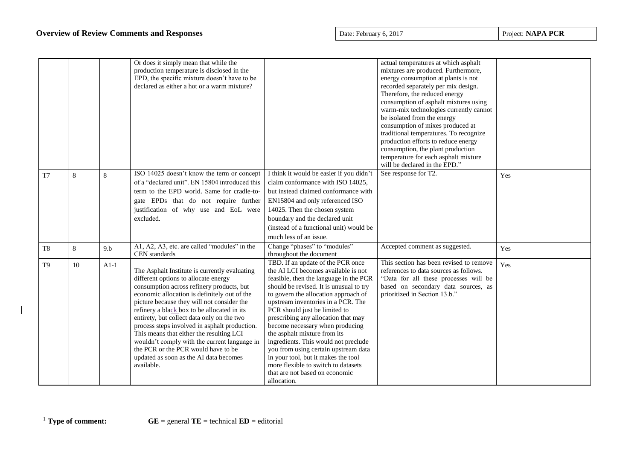|                |    |        | Or does it simply mean that while the<br>production temperature is disclosed in the<br>EPD, the specific mixture doesn't have to be<br>declared as either a hot or a warm mixture?                                                                                                                                                                                                                                                                                                                                                                                        |                                                                                                                                                                                                                                                                                                                                                                                                                                                                                                                                                                                                       | actual temperatures at which asphalt<br>mixtures are produced. Furthermore,<br>energy consumption at plants is not<br>recorded separately per mix design.<br>Therefore, the reduced energy<br>consumption of asphalt mixtures using<br>warm-mix technologies currently cannot<br>be isolated from the energy<br>consumption of mixes produced at<br>traditional temperatures. To recognize<br>production efforts to reduce energy<br>consumption, the plant production<br>temperature for each asphalt mixture<br>will be declared in the EPD." |     |
|----------------|----|--------|---------------------------------------------------------------------------------------------------------------------------------------------------------------------------------------------------------------------------------------------------------------------------------------------------------------------------------------------------------------------------------------------------------------------------------------------------------------------------------------------------------------------------------------------------------------------------|-------------------------------------------------------------------------------------------------------------------------------------------------------------------------------------------------------------------------------------------------------------------------------------------------------------------------------------------------------------------------------------------------------------------------------------------------------------------------------------------------------------------------------------------------------------------------------------------------------|-------------------------------------------------------------------------------------------------------------------------------------------------------------------------------------------------------------------------------------------------------------------------------------------------------------------------------------------------------------------------------------------------------------------------------------------------------------------------------------------------------------------------------------------------|-----|
| T <sub>7</sub> | 8  | 8      | ISO 14025 doesn't know the term or concept<br>of a "declared unit". EN 15804 introduced this<br>term to the EPD world. Same for cradle-to-<br>gate EPDs that do not require further<br>justification of why use and EoL were<br>excluded.                                                                                                                                                                                                                                                                                                                                 | I think it would be easier if you didn't<br>claim conformance with ISO 14025,<br>but instead claimed conformance with<br>EN15804 and only referenced ISO<br>14025. Then the chosen system<br>boundary and the declared unit<br>(instead of a functional unit) would be<br>much less of an issue.                                                                                                                                                                                                                                                                                                      | See response for T2.                                                                                                                                                                                                                                                                                                                                                                                                                                                                                                                            | Yes |
| T <sub>8</sub> | 8  | 9.b    | A1, A2, A3, etc. are called "modules" in the<br>CEN standards                                                                                                                                                                                                                                                                                                                                                                                                                                                                                                             | Change "phases" to "modules"<br>throughout the document                                                                                                                                                                                                                                                                                                                                                                                                                                                                                                                                               | Accepted comment as suggested.                                                                                                                                                                                                                                                                                                                                                                                                                                                                                                                  | Yes |
| T <sub>9</sub> | 10 | $A1-1$ | The Asphalt Institute is currently evaluating<br>different options to allocate energy<br>consumption across refinery products, but<br>economic allocation is definitely out of the<br>picture because they will not consider the<br>refinery a black box to be allocated in its<br>entirety, but collect data only on the two<br>process steps involved in asphalt production.<br>This means that either the resulting LCI<br>wouldn't comply with the current language in<br>the PCR or the PCR would have to be<br>updated as soon as the AI data becomes<br>available. | TBD. If an update of the PCR once<br>the AI LCI becomes available is not<br>feasible, then the language in the PCR<br>should be revised. It is unusual to try<br>to govern the allocation approach of<br>upstream inventories in a PCR. The<br>PCR should just be limited to<br>prescribing any allocation that may<br>become necessary when producing<br>the asphalt mixture from its<br>ingredients. This would not preclude<br>you from using certain upstream data<br>in your tool, but it makes the tool<br>more flexible to switch to datasets<br>that are not based on economic<br>allocation. | This section has been revised to remove<br>references to data sources as follows.<br>"Data for all these processes will be<br>based on secondary data sources, as<br>prioritized in Section 13.b."                                                                                                                                                                                                                                                                                                                                              | Yes |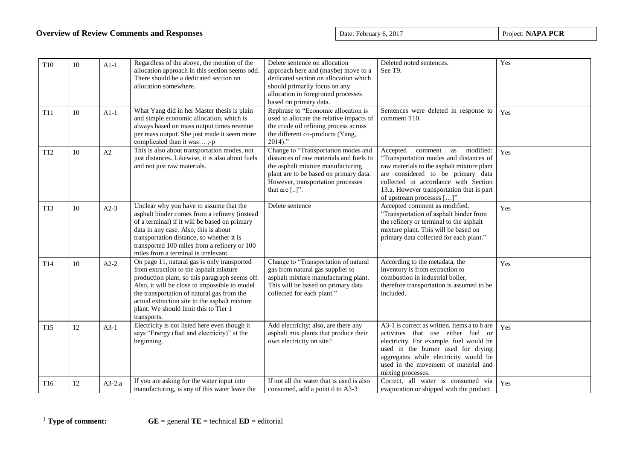| T <sub>10</sub> | 10 | $A1-1$   | Regardless of the above, the mention of the<br>allocation approach in this section seems odd.<br>There should be a dedicated section on<br>allocation somewhere.                                                                                                                                                                                | Delete sentence on allocation<br>approach here and (maybe) move to a<br>dedicated section on allocation which<br>should primarily focus on any<br>allocation in foreground processes<br>based on primary data.         | Deleted noted sentences.<br>See T9.                                                                                                                                                                                                                                                           | Yes |
|-----------------|----|----------|-------------------------------------------------------------------------------------------------------------------------------------------------------------------------------------------------------------------------------------------------------------------------------------------------------------------------------------------------|------------------------------------------------------------------------------------------------------------------------------------------------------------------------------------------------------------------------|-----------------------------------------------------------------------------------------------------------------------------------------------------------------------------------------------------------------------------------------------------------------------------------------------|-----|
| T11             | 10 | $A1-1$   | What Yang did in her Master thesis is plain<br>and simple economic allocation, which is<br>always based on mass output times revenue<br>per mass output. She just made it seem more<br>complicated than it was;-p                                                                                                                               | Rephrase to "Economic allocation is<br>used to allocate the relative impacts of<br>the crude oil refining process across<br>the different co-products (Yang,<br>$2014$ ."                                              | Sentences were deleted in response to<br>comment T10.                                                                                                                                                                                                                                         | Yes |
| T <sub>12</sub> | 10 | A2       | This is also about transportation modes, not<br>just distances. Likewise, it is also about fuels<br>and not just raw materials.                                                                                                                                                                                                                 | Change to "Transportation modes and<br>distances of raw materials and fuels to<br>the asphalt mixture manufacturing<br>plant are to be based on primary data.<br>However, transportation processes<br>that are $[]$ ". | Accepted<br>modified:<br>comment<br>as<br>"Transportation modes and distances of<br>raw materials to the asphalt mixture plant<br>are considered to be primary data<br>collected in accordance with Section<br>13.a. However transportation that is part<br>of upstream processes $[\dots]$ " | Yes |
| T13             | 10 | $A2-3$   | Unclear why you have to assume that the<br>asphalt binder comes from a refinery (instead<br>of a terminal) if it will be based on primary<br>data in any case. Also, this is about<br>transportation distance, so whether it is<br>transported 100 miles from a refinery or 100<br>miles from a terminal is irrelevant.                         | Delete sentence                                                                                                                                                                                                        | Accepted comment as modified.<br>"Transportation of asphalt binder from<br>the refinery or terminal to the asphalt<br>mixture plant. This will be based on<br>primary data collected for each plant."                                                                                         | Yes |
| T14             | 10 | $A2-2$   | On page 11, natural gas is only transported<br>from extraction to the asphalt mixture<br>production plant, so this paragraph seems off.<br>Also, it will be close to impossible to model<br>the transportation of natural gas from the<br>actual extraction site to the asphalt mixture<br>plant. We should limit this to Tier 1<br>transports. | Change to "Transportation of natural<br>gas from natural gas supplier to<br>asphalt mixture manufacturing plant.<br>This will be based on primary data<br>collected for each plant."                                   | According to the metadata, the<br>inventory is from extraction to<br>combustion in industrial boiler,<br>therefore transportation is assumed to be<br>included.                                                                                                                               | Yes |
| T <sub>15</sub> | 12 | $A3-1$   | Electricity is not listed here even though it<br>says "Energy (fuel and electricity)" at the<br>beginning.                                                                                                                                                                                                                                      | Add electricity; also, are there any<br>asphalt mix plants that produce their<br>own electricity on site?                                                                                                              | A3-1 is correct as written. Items a to h are<br>activities that use either fuel or<br>electricity. For example, fuel would be<br>used in the burner used for drying<br>aggregates while electricity would be<br>used in the movement of material and<br>mixing processes.                     | Yes |
| T16             | 12 | $A3-2.a$ | If you are asking for the water input into<br>manufacturing, is any of this water leave the                                                                                                                                                                                                                                                     | If not all the water that is used is also<br>consumed, add a point d to A3-3                                                                                                                                           | Correct, all water is consumed via<br>evaporation or shipped with the product.                                                                                                                                                                                                                | Yes |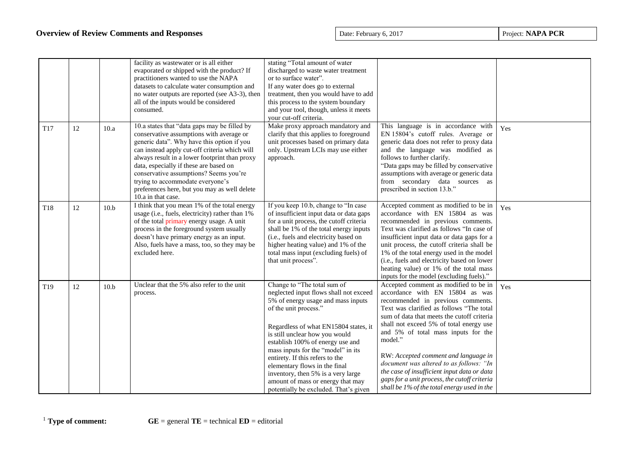|                 |    |      | facility as wastewater or is all either<br>evaporated or shipped with the product? If<br>practitioners wanted to use the NAPA<br>datasets to calculate water consumption and<br>no water outputs are reported (see A3-3), then<br>all of the inputs would be considered<br>consumed.                                                                                                                                                   | stating "Total amount of water<br>discharged to waste water treatment<br>or to surface water".<br>If any water does go to external<br>treatment, then you would have to add<br>this process to the system boundary<br>and your tool, though, unless it meets<br>your cut-off criteria.                                                                                                                                                                                            |                                                                                                                                                                                                                                                                                                                                                                                                                                                                                                                                       |     |
|-----------------|----|------|----------------------------------------------------------------------------------------------------------------------------------------------------------------------------------------------------------------------------------------------------------------------------------------------------------------------------------------------------------------------------------------------------------------------------------------|-----------------------------------------------------------------------------------------------------------------------------------------------------------------------------------------------------------------------------------------------------------------------------------------------------------------------------------------------------------------------------------------------------------------------------------------------------------------------------------|---------------------------------------------------------------------------------------------------------------------------------------------------------------------------------------------------------------------------------------------------------------------------------------------------------------------------------------------------------------------------------------------------------------------------------------------------------------------------------------------------------------------------------------|-----|
| T17             | 12 | 10.a | 10.a states that "data gaps may be filled by<br>conservative assumptions with average or<br>generic data". Why have this option if you<br>can instead apply cut-off criteria which will<br>always result in a lower footprint than proxy<br>data, especially if these are based on<br>conservative assumptions? Seems you're<br>trying to accommodate everyone's<br>preferences here, but you may as well delete<br>10.a in that case. | Make proxy approach mandatory and<br>clarify that this applies to foreground<br>unit processes based on primary data<br>only. Upstream LCIs may use either<br>approach.                                                                                                                                                                                                                                                                                                           | This language is in accordance with<br>EN 15804's cutoff rules. Average or<br>generic data does not refer to proxy data<br>and the language was modified as<br>follows to further clarify.<br>"Data gaps may be filled by conservative<br>assumptions with average or generic data<br>from secondary data sources as<br>prescribed in section 13.b."                                                                                                                                                                                  | Yes |
| T <sub>18</sub> | 12 | 10.b | I think that you mean 1% of the total energy<br>usage (i.e., fuels, electricity) rather than 1%<br>of the total primary energy usage. A unit<br>process in the foreground system usually<br>doesn't have primary energy as an input.<br>Also, fuels have a mass, too, so they may be<br>excluded here.                                                                                                                                 | If you keep 10.b, change to "In case<br>of insufficient input data or data gaps<br>for a unit process, the cutoff criteria<br>shall be 1% of the total energy inputs<br>(i.e., fuels and electricity based on<br>higher heating value) and 1% of the<br>total mass input (excluding fuels) of<br>that unit process".                                                                                                                                                              | Accepted comment as modified to be in<br>accordance with EN 15804 as was<br>recommended in previous comments.<br>Text was clarified as follows "In case of<br>insufficient input data or data gaps for a<br>unit process, the cutoff criteria shall be<br>1% of the total energy used in the model<br>(i.e., fuels and electricity based on lower<br>heating value) or 1% of the total mass<br>inputs for the model (excluding fuels)."                                                                                               | Yes |
| T <sub>19</sub> | 12 | 10.b | Unclear that the 5% also refer to the unit<br>process.                                                                                                                                                                                                                                                                                                                                                                                 | Change to "The total sum of<br>neglected input flows shall not exceed<br>5% of energy usage and mass inputs<br>of the unit process."<br>Regardless of what EN15804 states, it<br>is still unclear how you would<br>establish 100% of energy use and<br>mass inputs for the "model" in its<br>entirety. If this refers to the<br>elementary flows in the final<br>inventory, then 5% is a very large<br>amount of mass or energy that may<br>potentially be excluded. That's given | Accepted comment as modified to be in<br>accordance with EN 15804 as was<br>recommended in previous comments.<br>Text was clarified as follows "The total<br>sum of data that meets the cutoff criteria<br>shall not exceed 5% of total energy use<br>and 5% of total mass inputs for the<br>model."<br>RW: Accepted comment and language in<br>document was altered to as follows: "In<br>the case of insufficient input data or data<br>gaps for a unit process, the cutoff criteria<br>shall be 1% of the total energy used in the | Yes |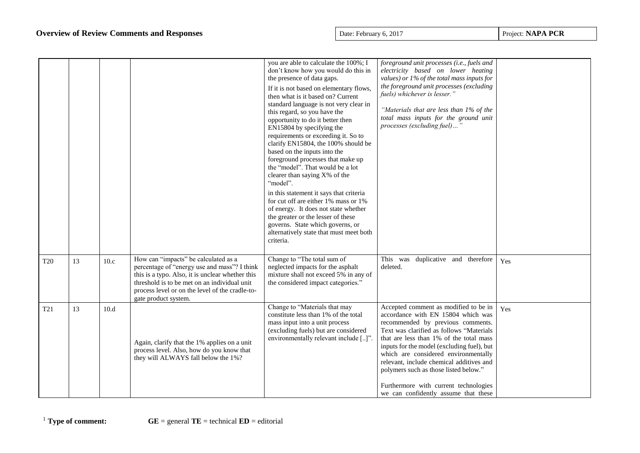|            |    |      |                                                                                                                                                                                                                                                                     | you are able to calculate the 100%; I<br>don't know how you would do this in<br>the presence of data gaps.<br>If it is not based on elementary flows,<br>then what is it based on? Current<br>standard language is not very clear in<br>this regard, so you have the<br>opportunity to do it better then<br>EN15804 by specifying the<br>requirements or exceeding it. So to<br>clarify EN15804, the 100% should be<br>based on the inputs into the<br>foreground processes that make up | foreground unit processes (i.e., fuels and<br>electricity based on lower heating<br>values) or $1\%$ of the total mass inputs for<br>the foreground unit processes (excluding<br>fuels) whichever is lesser."<br>"Materials that are less than 1% of the<br>total mass inputs for the ground unit<br>processes (excluding fuel)"                                                                                                                                    |     |
|------------|----|------|---------------------------------------------------------------------------------------------------------------------------------------------------------------------------------------------------------------------------------------------------------------------|------------------------------------------------------------------------------------------------------------------------------------------------------------------------------------------------------------------------------------------------------------------------------------------------------------------------------------------------------------------------------------------------------------------------------------------------------------------------------------------|---------------------------------------------------------------------------------------------------------------------------------------------------------------------------------------------------------------------------------------------------------------------------------------------------------------------------------------------------------------------------------------------------------------------------------------------------------------------|-----|
|            |    |      |                                                                                                                                                                                                                                                                     | the "model". That would be a lot<br>clearer than saying X% of the<br>"model".<br>in this statement it says that criteria<br>for cut off are either 1% mass or 1%<br>of energy. It does not state whether                                                                                                                                                                                                                                                                                 |                                                                                                                                                                                                                                                                                                                                                                                                                                                                     |     |
|            |    |      |                                                                                                                                                                                                                                                                     | the greater or the lesser of these<br>governs. State which governs, or<br>alternatively state that must meet both<br>criteria.                                                                                                                                                                                                                                                                                                                                                           |                                                                                                                                                                                                                                                                                                                                                                                                                                                                     |     |
| <b>T20</b> | 13 | 10.c | How can "impacts" be calculated as a<br>percentage of "energy use and mass"? I think<br>this is a typo. Also, it is unclear whether this<br>threshold is to be met on an individual unit<br>process level or on the level of the cradle-to-<br>gate product system. | Change to "The total sum of<br>neglected impacts for the asphalt<br>mixture shall not exceed 5% in any of<br>the considered impact categories."                                                                                                                                                                                                                                                                                                                                          | This was duplicative and therefore<br>deleted.                                                                                                                                                                                                                                                                                                                                                                                                                      | Yes |
| T21        | 13 | 10.d | Again, clarify that the 1% applies on a unit<br>process level. Also, how do you know that<br>they will ALWAYS fall below the 1%?                                                                                                                                    | Change to "Materials that may<br>constitute less than 1% of the total<br>mass input into a unit process<br>(excluding fuels) but are considered<br>environmentally relevant include []"                                                                                                                                                                                                                                                                                                  | Accepted comment as modified to be in<br>accordance with EN 15804 which was<br>recommended by previous comments.<br>Text was clarified as follows "Materials<br>that are less than 1% of the total mass<br>inputs for the model (excluding fuel), but<br>which are considered environmentally<br>relevant, include chemical additives and<br>polymers such as those listed below."<br>Furthermore with current technologies<br>we can confidently assume that these | Yes |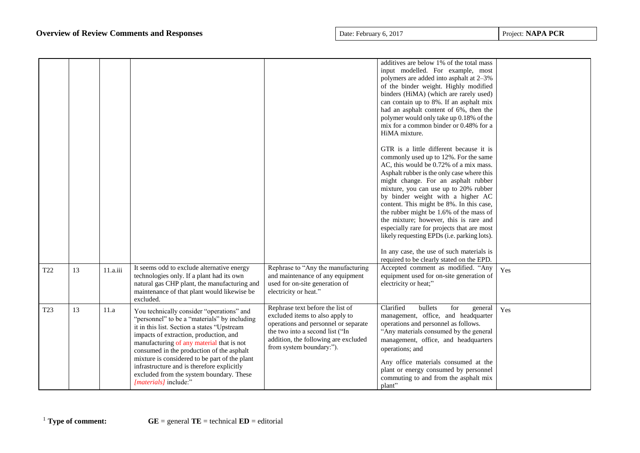|                 |    |          |                                                                                                                                                                                                                                                                                                                                                                                                                                                  |                                                                                                                                                                                                                    | additives are below 1% of the total mass<br>input modelled. For example, most<br>polymers are added into asphalt at 2-3%<br>of the binder weight. Highly modified<br>binders (HiMA) (which are rarely used)<br>can contain up to 8%. If an asphalt mix<br>had an asphalt content of 6%, then the<br>polymer would only take up 0.18% of the<br>mix for a common binder or 0.48% for a                                                                                                                                                                                                     |     |
|-----------------|----|----------|--------------------------------------------------------------------------------------------------------------------------------------------------------------------------------------------------------------------------------------------------------------------------------------------------------------------------------------------------------------------------------------------------------------------------------------------------|--------------------------------------------------------------------------------------------------------------------------------------------------------------------------------------------------------------------|-------------------------------------------------------------------------------------------------------------------------------------------------------------------------------------------------------------------------------------------------------------------------------------------------------------------------------------------------------------------------------------------------------------------------------------------------------------------------------------------------------------------------------------------------------------------------------------------|-----|
|                 |    |          |                                                                                                                                                                                                                                                                                                                                                                                                                                                  |                                                                                                                                                                                                                    | HiMA mixture.<br>GTR is a little different because it is<br>commonly used up to 12%. For the same<br>AC, this would be 0.72% of a mix mass.<br>Asphalt rubber is the only case where this<br>might change. For an asphalt rubber<br>mixture, you can use up to 20% rubber<br>by binder weight with a higher AC<br>content. This might be 8%. In this case,<br>the rubber might be 1.6% of the mass of<br>the mixture; however, this is rare and<br>especially rare for projects that are most<br>likely requesting EPDs (i.e. parking lots).<br>In any case, the use of such materials is |     |
| T <sub>22</sub> | 13 | 11.a.iii | It seems odd to exclude alternative energy<br>technologies only. If a plant had its own<br>natural gas CHP plant, the manufacturing and<br>maintenance of that plant would likewise be<br>excluded.                                                                                                                                                                                                                                              | Rephrase to "Any the manufacturing<br>and maintenance of any equipment<br>used for on-site generation of<br>electricity or heat."                                                                                  | required to be clearly stated on the EPD.<br>Accepted comment as modified. "Any<br>equipment used for on-site generation of<br>electricity or heat;"                                                                                                                                                                                                                                                                                                                                                                                                                                      | Yes |
| T <sub>23</sub> | 13 | 11.a     | You technically consider "operations" and<br>"personnel" to be a "materials" by including<br>it in this list. Section a states "Upstream<br>impacts of extraction, production, and<br>manufacturing of any material that is not<br>consumed in the production of the asphalt<br>mixture is considered to be part of the plant<br>infrastructure and is therefore explicitly<br>excluded from the system boundary. These<br>[materials] include:" | Rephrase text before the list of<br>excluded items to also apply to<br>operations and personnel or separate<br>the two into a second list ("In<br>addition, the following are excluded<br>from system boundary:"). | Clarified<br>bullets<br>for<br>general<br>management, office, and headquarter<br>operations and personnel as follows.<br>"Any materials consumed by the general<br>management, office, and headquarters<br>operations; and<br>Any office materials consumed at the<br>plant or energy consumed by personnel<br>commuting to and from the asphalt mix<br>plant"                                                                                                                                                                                                                            | Yes |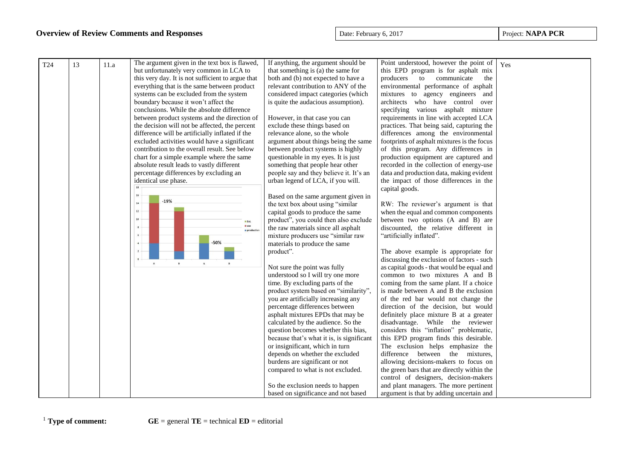|                 |    |      |                                                                                          | If anything, the argument should be                                      | Point understood, however the point of                                      |     |
|-----------------|----|------|------------------------------------------------------------------------------------------|--------------------------------------------------------------------------|-----------------------------------------------------------------------------|-----|
| T <sub>24</sub> | 13 | 11.a | The argument given in the text box is flawed,<br>but unfortunately very common in LCA to | that something is (a) the same for                                       | this EPD program is for asphalt mix                                         | Yes |
|                 |    |      | this very day. It is not sufficient to argue that                                        | both and (b) not expected to have a                                      | producers to communicate<br>the                                             |     |
|                 |    |      | everything that is the same between product                                              | relevant contribution to ANY of the                                      | environmental performance of asphalt                                        |     |
|                 |    |      | systems can be excluded from the system                                                  | considered impact categories (which                                      | mixtures to agency engineers and                                            |     |
|                 |    |      | boundary because it won't affect the                                                     | is quite the audacious assumption).                                      | architects who have control over                                            |     |
|                 |    |      | conclusions. While the absolute difference                                               |                                                                          | specifying various asphalt mixture                                          |     |
|                 |    |      | between product systems and the direction of                                             | However, in that case you can                                            | requirements in line with accepted LCA                                      |     |
|                 |    |      | the decision will not be affected, the percent                                           | exclude these things based on                                            | practices. That being said, capturing the                                   |     |
|                 |    |      | difference will be artificially inflated if the                                          | relevance alone, so the whole                                            | differences among the environmental                                         |     |
|                 |    |      | excluded activities would have a significant                                             | argument about things being the same                                     | footprints of asphalt mixtures is the focus                                 |     |
|                 |    |      | contribution to the overall result. See below                                            | between product systems is highly                                        | of this program. Any differences in                                         |     |
|                 |    |      | chart for a simple example where the same                                                | questionable in my eyes. It is just                                      | production equipment are captured and                                       |     |
|                 |    |      | absolute result leads to vastly different                                                | something that people hear other                                         | recorded in the collection of energy-use                                    |     |
|                 |    |      | percentage differences by excluding an                                                   | people say and they believe it. It's an                                  | data and production data, making evident                                    |     |
|                 |    |      |                                                                                          |                                                                          | the impact of those differences in the                                      |     |
|                 |    |      | identical use phase.                                                                     | urban legend of LCA, if you will.                                        |                                                                             |     |
|                 |    |      | 16                                                                                       |                                                                          | capital goods.                                                              |     |
|                 |    |      | $-19%$<br>14                                                                             | Based on the same argument given in<br>the text box about using "similar |                                                                             |     |
|                 |    |      | $12\,$                                                                                   | capital goods to produce the same                                        | RW: The reviewer's argument is that<br>when the equal and common components |     |
|                 |    |      | 10                                                                                       | product", you could then also exclude                                    | between two options (A and B) are                                           |     |
|                 |    |      | $\equiv$ EoL<br>use                                                                      | the raw materials since all asphalt                                      | discounted, the relative different in                                       |     |
|                 |    |      | production                                                                               | mixture producers use "similar raw                                       | "artificially inflated".                                                    |     |
|                 |    |      | $-50%$                                                                                   | materials to produce the same                                            |                                                                             |     |
|                 |    |      |                                                                                          | product".                                                                | The above example is appropriate for                                        |     |
|                 |    |      |                                                                                          |                                                                          | discussing the exclusion of factors - such                                  |     |
|                 |    |      | $\overline{A}$<br>$\mathbf{B}$<br>$\mathbb A$<br>$\mathbf{B}$                            | Not sure the point was fully                                             | as capital goods - that would be equal and                                  |     |
|                 |    |      |                                                                                          | understood so I will try one more                                        | common to two mixtures A and B                                              |     |
|                 |    |      |                                                                                          | time. By excluding parts of the                                          | coming from the same plant. If a choice                                     |     |
|                 |    |      |                                                                                          | product system based on "similarity",                                    | is made between A and B the exclusion                                       |     |
|                 |    |      |                                                                                          | you are artificially increasing any                                      | of the red bar would not change the                                         |     |
|                 |    |      |                                                                                          | percentage differences between                                           | direction of the decision, but would                                        |     |
|                 |    |      |                                                                                          | asphalt mixtures EPDs that may be                                        | definitely place mixture B at a greater                                     |     |
|                 |    |      |                                                                                          | calculated by the audience. So the                                       | disadvantage. While the reviewer                                            |     |
|                 |    |      |                                                                                          | question becomes whether this bias,                                      | considers this "inflation" problematic,                                     |     |
|                 |    |      |                                                                                          | because that's what it is, is significant                                | this EPD program finds this desirable.                                      |     |
|                 |    |      |                                                                                          | or insignificant, which in turn                                          | The exclusion helps emphasize the                                           |     |
|                 |    |      |                                                                                          | depends on whether the excluded                                          | difference between the mixtures,                                            |     |
|                 |    |      |                                                                                          | burdens are significant or not                                           | allowing decisions-makers to focus on                                       |     |
|                 |    |      |                                                                                          | compared to what is not excluded.                                        | the green bars that are directly within the                                 |     |
|                 |    |      |                                                                                          |                                                                          | control of designers, decision-makers                                       |     |
|                 |    |      |                                                                                          | So the exclusion needs to happen                                         | and plant managers. The more pertinent                                      |     |
|                 |    |      |                                                                                          | based on significance and not based                                      | argument is that by adding uncertain and                                    |     |
|                 |    |      |                                                                                          |                                                                          |                                                                             |     |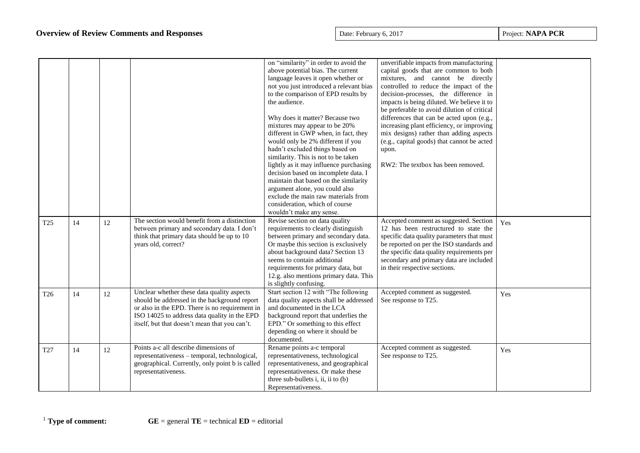|                 |    |    |                                                 | on "similarity" in order to avoid the   | unverifiable impacts from manufacturing     |     |
|-----------------|----|----|-------------------------------------------------|-----------------------------------------|---------------------------------------------|-----|
|                 |    |    |                                                 | above potential bias. The current       | capital goods that are common to both       |     |
|                 |    |    |                                                 | language leaves it open whether or      | mixtures, and cannot be directly            |     |
|                 |    |    |                                                 | not you just introduced a relevant bias | controlled to reduce the impact of the      |     |
|                 |    |    |                                                 | to the comparison of EPD results by     | decision-processes, the difference in       |     |
|                 |    |    |                                                 | the audience.                           | impacts is being diluted. We believe it to  |     |
|                 |    |    |                                                 |                                         | be preferable to avoid dilution of critical |     |
|                 |    |    |                                                 | Why does it matter? Because two         | differences that can be acted upon (e.g.,   |     |
|                 |    |    |                                                 | mixtures may appear to be 20%           | increasing plant efficiency, or improving   |     |
|                 |    |    |                                                 | different in GWP when, in fact, they    | mix designs) rather than adding aspects     |     |
|                 |    |    |                                                 | would only be 2% different if you       | (e.g., capital goods) that cannot be acted  |     |
|                 |    |    |                                                 | hadn't excluded things based on         | upon.                                       |     |
|                 |    |    |                                                 | similarity. This is not to be taken     |                                             |     |
|                 |    |    |                                                 | lightly as it may influence purchasing  | RW2: The textbox has been removed.          |     |
|                 |    |    |                                                 | decision based on incomplete data. I    |                                             |     |
|                 |    |    |                                                 | maintain that based on the similarity   |                                             |     |
|                 |    |    |                                                 | argument alone, you could also          |                                             |     |
|                 |    |    |                                                 | exclude the main raw materials from     |                                             |     |
|                 |    |    |                                                 | consideration, which of course          |                                             |     |
|                 |    |    |                                                 | wouldn't make any sense.                |                                             |     |
|                 | 14 | 12 | The section would benefit from a distinction    | Revise section on data quality          | Accepted comment as suggested. Section      | Yes |
| T <sub>25</sub> |    |    | between primary and secondary data. I don't     | requirements to clearly distinguish     | 12 has been restructured to state the       |     |
|                 |    |    | think that primary data should be up to 10      | between primary and secondary data.     | specific data quality parameters that must  |     |
|                 |    |    | years old, correct?                             | Or maybe this section is exclusively    | be reported on per the ISO standards and    |     |
|                 |    |    |                                                 | about background data? Section 13       | the specific data quality requirements per  |     |
|                 |    |    |                                                 | seems to contain additional             | secondary and primary data are included     |     |
|                 |    |    |                                                 | requirements for primary data, but      | in their respective sections.               |     |
|                 |    |    |                                                 | 12.g. also mentions primary data. This  |                                             |     |
|                 |    |    |                                                 | is slightly confusing.                  |                                             |     |
| T <sub>26</sub> | 14 | 12 | Unclear whether these data quality aspects      | Start section 12 with "The following    | Accepted comment as suggested.              | Yes |
|                 |    |    | should be addressed in the background report    | data quality aspects shall be addressed | See response to T25.                        |     |
|                 |    |    | or also in the EPD. There is no requirement in  | and documented in the LCA               |                                             |     |
|                 |    |    | ISO 14025 to address data quality in the EPD    | background report that underlies the    |                                             |     |
|                 |    |    | itself, but that doesn't mean that you can't.   | EPD." Or something to this effect       |                                             |     |
|                 |    |    |                                                 | depending on where it should be         |                                             |     |
|                 |    |    |                                                 | documented.                             |                                             |     |
| T27             | 14 | 12 | Points a-c all describe dimensions of           | Rename points a-c temporal              | Accepted comment as suggested.              | Yes |
|                 |    |    | representativeness – temporal, technological,   | representativeness, technological       | See response to T25.                        |     |
|                 |    |    | geographical. Currently, only point b is called | representativeness, and geographical    |                                             |     |
|                 |    |    | representativeness.                             | representativeness. Or make these       |                                             |     |
|                 |    |    |                                                 | three sub-bullets i, ii, ii to (b)      |                                             |     |
|                 |    |    |                                                 | Representativeness.                     |                                             |     |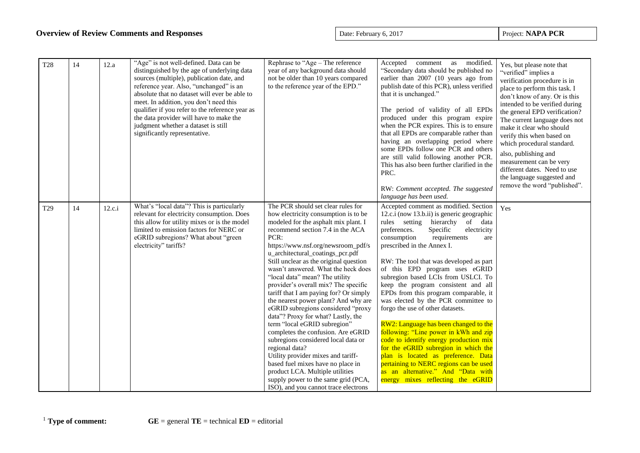| <b>T28</b>      | 14 | 12.a   | "Age" is not well-defined. Data can be<br>distinguished by the age of underlying data<br>sources (multiple), publication date, and<br>reference year. Also, "unchanged" is an<br>absolute that no dataset will ever be able to<br>meet. In addition, you don't need this<br>qualifier if you refer to the reference year as<br>the data provider will have to make the<br>judgment whether a dataset is still<br>significantly representative. | Rephrase to "Age - The reference<br>year of any background data should<br>not be older than 10 years compared<br>to the reference year of the EPD."                                                                                                                                                                                                                                                                                                                                                                                                                                                                                                                                                                                                                                                                                                                                           | Accepted comment as modified.<br>"Secondary data should be published no<br>earlier than 2007 (10 years ago from<br>publish date of this PCR), unless verified<br>that it is unchanged."<br>The period of validity of all EPDs<br>produced under this program expire<br>when the PCR expires. This is to ensure<br>that all EPDs are comparable rather than<br>having an overlapping period where<br>some EPDs follow one PCR and others<br>are still valid following another PCR.<br>This has also been further clarified in the<br>PRC.<br>RW: Comment accepted. The suggested<br>language has been used.                                                                                                                                                                                                                                           | Yes, but please note that<br>"verified" implies a<br>verification procedure is in<br>place to perform this task. I<br>don't know of any. Or is this<br>intended to be verified during<br>the general EPD verification?<br>The current language does not<br>make it clear who should<br>verify this when based on<br>which procedural standard.<br>also, publishing and<br>measurement can be very<br>different dates. Need to use<br>the language suggested and<br>remove the word "published". |
|-----------------|----|--------|------------------------------------------------------------------------------------------------------------------------------------------------------------------------------------------------------------------------------------------------------------------------------------------------------------------------------------------------------------------------------------------------------------------------------------------------|-----------------------------------------------------------------------------------------------------------------------------------------------------------------------------------------------------------------------------------------------------------------------------------------------------------------------------------------------------------------------------------------------------------------------------------------------------------------------------------------------------------------------------------------------------------------------------------------------------------------------------------------------------------------------------------------------------------------------------------------------------------------------------------------------------------------------------------------------------------------------------------------------|------------------------------------------------------------------------------------------------------------------------------------------------------------------------------------------------------------------------------------------------------------------------------------------------------------------------------------------------------------------------------------------------------------------------------------------------------------------------------------------------------------------------------------------------------------------------------------------------------------------------------------------------------------------------------------------------------------------------------------------------------------------------------------------------------------------------------------------------------|-------------------------------------------------------------------------------------------------------------------------------------------------------------------------------------------------------------------------------------------------------------------------------------------------------------------------------------------------------------------------------------------------------------------------------------------------------------------------------------------------|
| T <sub>29</sub> | 14 | 12.c.i | What's "local data"? This is particularly<br>relevant for electricity consumption. Does<br>this allow for utility mixes or is the model<br>limited to emission factors for NERC or<br>eGRID subregions? What about "green<br>electricity" tariffs?                                                                                                                                                                                             | The PCR should set clear rules for<br>how electricity consumption is to be<br>modeled for the asphalt mix plant. I<br>recommend section 7.4 in the ACA<br>PCR:<br>https://www.nsf.org/newsroom_pdf/s<br>u_architectural_coatings_pcr.pdf<br>Still unclear as the original question<br>wasn't answered. What the heck does<br>"local data" mean? The utility<br>provider's overall mix? The specific<br>tariff that I am paying for? Or simply<br>the nearest power plant? And why are<br>eGRID subregions considered "proxy<br>data"? Proxy for what? Lastly, the<br>term "local eGRID subregion"<br>completes the confusion. Are eGRID<br>subregions considered local data or<br>regional data?<br>Utility provider mixes and tariff-<br>based fuel mixes have no place in<br>product LCA. Multiple utilities<br>supply power to the same grid (PCA,<br>ISO), and you cannot trace electrons | Accepted comment as modified. Section<br>12.c.i (now 13.b.ii) is generic geographic<br>rules setting hierarchy of data<br>preferences.<br>Specific<br>electricity<br>requirements<br>consumption<br>are<br>prescribed in the Annex I.<br>RW: The tool that was developed as part<br>of this EPD program uses eGRID<br>subregion based LCIs from USLCI. To<br>keep the program consistent and all<br>EPDs from this program comparable, it<br>was elected by the PCR committee to<br>forgo the use of other datasets.<br>RW2: Language has been changed to the<br>following: "Line power in kWh and zip<br>code to identify energy production mix<br>for the eGRID subregion in which the<br>plan is located as preference. Data<br>pertaining to NERC regions can be used<br>as an alternative." And "Data with<br>energy mixes reflecting the eGRID | Yes                                                                                                                                                                                                                                                                                                                                                                                                                                                                                             |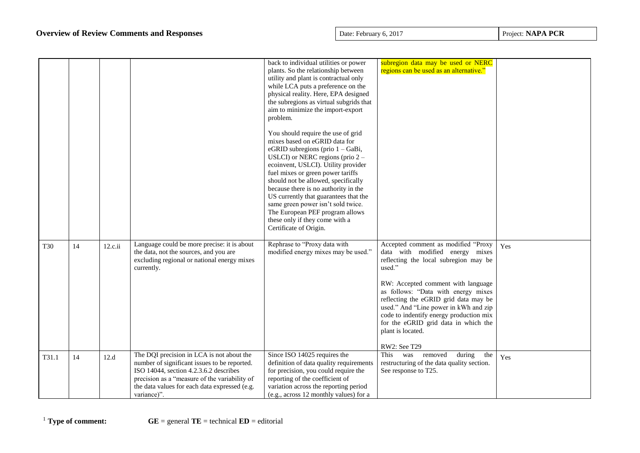|            |    |         |                                                                                                                                                                                                                                                      | back to individual utilities or power<br>plants. So the relationship between<br>utility and plant is contractual only<br>while LCA puts a preference on the<br>physical reality. Here, EPA designed<br>the subregions as virtual subgrids that<br>aim to minimize the import-export<br>problem.<br>You should require the use of grid<br>mixes based on eGRID data for<br>eGRID subregions (prio $1 -$ GaBi,<br>USLCI) or NERC regions (prio 2 -<br>ecoinvent, USLCI). Utility provider<br>fuel mixes or green power tariffs<br>should not be allowed, specifically<br>because there is no authority in the<br>US currently that guarantees that the<br>same green power isn't sold twice.<br>The European PEF program allows<br>these only if they come with a<br>Certificate of Origin. | subregion data may be used or NERC<br>regions can be used as an alternative."                                                                                                                                                                                                                                                                                                                                    |     |
|------------|----|---------|------------------------------------------------------------------------------------------------------------------------------------------------------------------------------------------------------------------------------------------------------|-------------------------------------------------------------------------------------------------------------------------------------------------------------------------------------------------------------------------------------------------------------------------------------------------------------------------------------------------------------------------------------------------------------------------------------------------------------------------------------------------------------------------------------------------------------------------------------------------------------------------------------------------------------------------------------------------------------------------------------------------------------------------------------------|------------------------------------------------------------------------------------------------------------------------------------------------------------------------------------------------------------------------------------------------------------------------------------------------------------------------------------------------------------------------------------------------------------------|-----|
| <b>T30</b> | 14 | 12.c.ii | Language could be more precise: it is about<br>the data, not the sources, and you are<br>excluding regional or national energy mixes<br>currently.                                                                                                   | Rephrase to "Proxy data with<br>modified energy mixes may be used."                                                                                                                                                                                                                                                                                                                                                                                                                                                                                                                                                                                                                                                                                                                       | Accepted comment as modified "Proxy<br>data with modified energy mixes<br>reflecting the local subregion may be<br>used."<br>RW: Accepted comment with language<br>as follows: "Data with energy mixes<br>reflecting the eGRID grid data may be<br>used." And "Line power in kWh and zip<br>code to indentify energy production mix<br>for the eGRID grid data in which the<br>plant is located.<br>RW2: See T29 | Yes |
| T31.1      | 14 | 12.d    | The DQI precision in LCA is not about the<br>number of significant issues to be reported.<br>ISO 14044, section 4.2.3.6.2 describes<br>precision as a "measure of the variability of<br>the data values for each data expressed (e.g.<br>variance)". | Since ISO 14025 requires the<br>definition of data quality requirements<br>for precision, you could require the<br>reporting of the coefficient of<br>variation across the reporting period<br>(e.g., across 12 monthly values) for a                                                                                                                                                                                                                                                                                                                                                                                                                                                                                                                                                     | This<br>removed<br>during<br>was<br>the<br>restructuring of the data quality section.<br>See response to T25.                                                                                                                                                                                                                                                                                                    | Yes |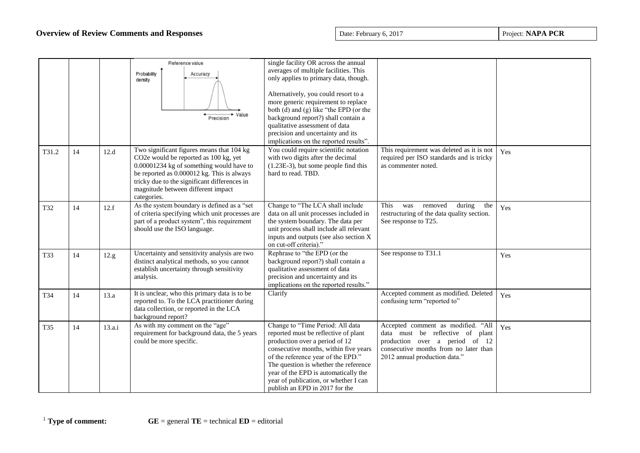|       |    |        | Reference value<br>Probability<br>Accuracy<br>density<br>→ Value<br>Precision                                                                                                                                                                                                     | single facility OR across the annual<br>averages of multiple facilities. This<br>only applies to primary data, though.<br>Alternatively, you could resort to a<br>more generic requirement to replace<br>both (d) and (g) like "the EPD (or the<br>background report?) shall contain a<br>qualitative assessment of data<br>precision and uncertainty and its<br>implications on the reported results". |                                                                                                                                                                                    |     |
|-------|----|--------|-----------------------------------------------------------------------------------------------------------------------------------------------------------------------------------------------------------------------------------------------------------------------------------|---------------------------------------------------------------------------------------------------------------------------------------------------------------------------------------------------------------------------------------------------------------------------------------------------------------------------------------------------------------------------------------------------------|------------------------------------------------------------------------------------------------------------------------------------------------------------------------------------|-----|
| T31.2 | 14 | 12.d   | Two significant figures means that 104 kg<br>CO2e would be reported as 100 kg, yet<br>0.00001234 kg of something would have to<br>be reported as 0.000012 kg. This is always<br>tricky due to the significant differences in<br>magnitude between different impact<br>categories. | You could require scientific notation<br>with two digits after the decimal<br>$(1.23E-3)$ , but some people find this<br>hard to read. TBD.                                                                                                                                                                                                                                                             | This requirement was deleted as it is not<br>required per ISO standards and is tricky<br>as commenter noted.                                                                       | Yes |
| T32   | 14 | 12.f   | As the system boundary is defined as a "set<br>of criteria specifying which unit processes are<br>part of a product system", this requirement<br>should use the ISO language.                                                                                                     | Change to "The LCA shall include<br>data on all unit processes included in<br>the system boundary. The data per<br>unit process shall include all relevant<br>inputs and outputs (see also section X<br>on cut-off criteria)."                                                                                                                                                                          | This<br>removed<br>during<br>was<br>the<br>restructuring of the data quality section.<br>See response to T25.                                                                      | Yes |
| T33   | 14 | 12.g   | Uncertainty and sensitivity analysis are two<br>distinct analytical methods, so you cannot<br>establish uncertainty through sensitivity<br>analysis.                                                                                                                              | Rephrase to "the EPD (or the<br>background report?) shall contain a<br>qualitative assessment of data<br>precision and uncertainty and its<br>implications on the reported results."                                                                                                                                                                                                                    | See response to T31.1                                                                                                                                                              | Yes |
| T34   | 14 | 13.a   | It is unclear, who this primary data is to be<br>reported to. To the LCA practitioner during<br>data collection, or reported in the LCA<br>background report?                                                                                                                     | Clarify                                                                                                                                                                                                                                                                                                                                                                                                 | Accepted comment as modified. Deleted<br>confusing term "reported to"                                                                                                              | Yes |
| T35   | 14 | 13.a.i | As with my comment on the "age"<br>requirement for background data, the 5 years<br>could be more specific.                                                                                                                                                                        | Change to "Time Period: All data<br>reported must be reflective of plant<br>production over a period of 12<br>consecutive months, within five years<br>of the reference year of the EPD."<br>The question is whether the reference<br>year of the EPD is automatically the<br>year of publication, or whether I can<br>publish an EPD in 2017 for the                                                   | Accepted comment as modified. "All<br>data must be reflective of plant<br>production over a period of 12<br>consecutive months from no later than<br>2012 annual production data." | Yes |

<sup>1</sup> **Type of comment: GE** = general **TE** = technical **ED** = editorial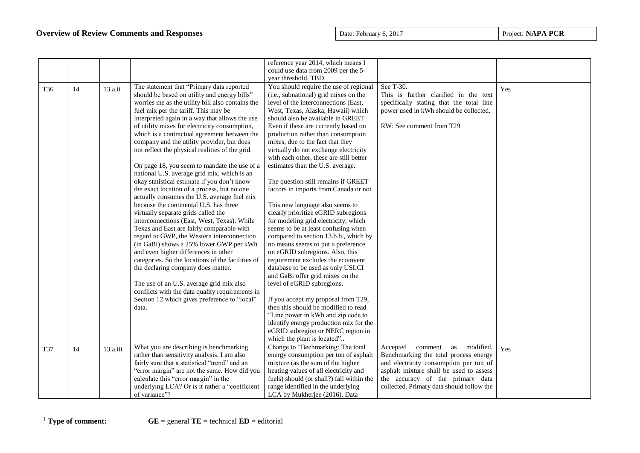|     |    |          |                                                   | reference year 2014, which means I        |                                           |     |
|-----|----|----------|---------------------------------------------------|-------------------------------------------|-------------------------------------------|-----|
|     |    |          |                                                   | could use data from 2009 per the 5-       |                                           |     |
|     |    |          |                                                   | year threshold. TBD.                      |                                           |     |
| T36 | 14 | 13.a.ii  | The statement that "Primary data reported         | You should require the use of regional    | See T-30.                                 | Yes |
|     |    |          | should be based on utility and energy bills"      | (i.e., subnational) grid mixes on the     | This is further clarified in the text     |     |
|     |    |          | worries me as the utility bill also contains the  | level of the interconnections (East,      | specifically stating that the total line  |     |
|     |    |          | fuel mix per the tariff. This may be              | West, Texas, Alaska, Hawaii) which        | power used in kWh should be collected.    |     |
|     |    |          | interpreted again in a way that allows the use    | should also be available in GREET.        |                                           |     |
|     |    |          | of utility mixes for electricity consumption,     | Even if these are currently based on      | RW: See comment from T29                  |     |
|     |    |          | which is a contractual agreement between the      | production rather than consumption        |                                           |     |
|     |    |          | company and the utility provider, but does        | mixes, due to the fact that they          |                                           |     |
|     |    |          | not reflect the physical realities of the grid.   | virtually do not exchange electricity     |                                           |     |
|     |    |          |                                                   | with each other, these are still better   |                                           |     |
|     |    |          | On page 18, you seem to mandate the use of a      | estimates than the U.S. average.          |                                           |     |
|     |    |          | national U.S. average grid mix, which is an       |                                           |                                           |     |
|     |    |          | okay statistical estimate if you don't know       | The question still remains if GREET       |                                           |     |
|     |    |          | the exact location of a process, but no one       | factors in imports from Canada or not     |                                           |     |
|     |    |          | actually consumes the U.S. average fuel mix       |                                           |                                           |     |
|     |    |          | because the continental U.S. has three            | This new language also seems to           |                                           |     |
|     |    |          | virtually separate grids called the               | clearly prioritize eGRID subregions       |                                           |     |
|     |    |          | interconnections (East, West, Texas). While       | for modeling grid electricity, which      |                                           |     |
|     |    |          | Texas and East are fairly comparable with         | seems to be at least confusing when       |                                           |     |
|     |    |          | regard to GWP, the Western interconnection        | compared to section 13.b.b., which by     |                                           |     |
|     |    |          | (in GaBi) shows a 25% lower GWP per kWh           | no means seems to put a preference        |                                           |     |
|     |    |          | and even higher differences in other              | on eGRID subregions. Also, this           |                                           |     |
|     |    |          | categories. So the locations of the facilities of | requirement excludes the ecoinvent        |                                           |     |
|     |    |          | the declaring company does matter.                | database to be used as only USLCI         |                                           |     |
|     |    |          |                                                   | and GaBi offer grid mixes on the          |                                           |     |
|     |    |          | The use of an U.S. average grid mix also          | level of eGRID subregions.                |                                           |     |
|     |    |          | conflicts with the data quality requirements in   |                                           |                                           |     |
|     |    |          | Section 12 which gives preference to "local"      | If you accept my proposal from T29,       |                                           |     |
|     |    |          | data.                                             | then this should be modified to read      |                                           |     |
|     |    |          |                                                   | "Line power in kWh and zip code to        |                                           |     |
|     |    |          |                                                   | identify energy production mix for the    |                                           |     |
|     |    |          |                                                   | eGRID subregion or NERC region in         |                                           |     |
|     |    |          |                                                   | which the plant is located"               |                                           |     |
| T37 | 14 | 13.a.iii | What you are describing is benchmarking           | Change to "Bechmarking: The total         | modified.<br>Accepted<br>comment<br>as    | Yes |
|     |    |          | rather than sensitivity analysis. I am also       | energy consumption per ton of asphalt     | Benchmarking the total process energy     |     |
|     |    |          | fairly sure that a statistical "trend" and an     | mixture (as the sum of the higher         | and electricity consumption per ton of    |     |
|     |    |          | "error margin" are not the same. How did you      | heating values of all electricity and     | asphalt mixture shall be used to assess   |     |
|     |    |          | calculate this "error margin" in the              | fuels) should (or shall?) fall within the | the accuracy of the primary data          |     |
|     |    |          | underlying LCA? Or is it rather a "coefficient    | range identified in the underlying        | collected. Primary data should follow the |     |
|     |    |          | of variance"?                                     | LCA by Mukherjee (2016). Data             |                                           |     |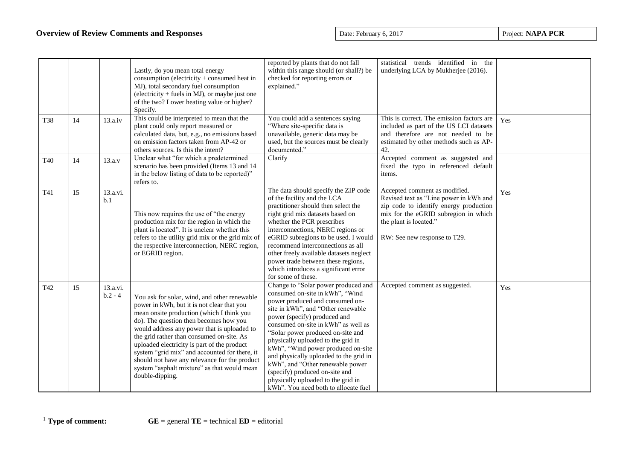|     |    |                       | Lastly, do you mean total energy<br>consumption (electricity + consumed heat in<br>MJ), total secondary fuel consumption<br>(electricity $+$ fuels in MJ), or maybe just one<br>of the two? Lower heating value or higher?<br>Specify.                                                                                                                                                                                                                                                           | reported by plants that do not fall<br>within this range should (or shall?) be<br>checked for reporting errors or<br>explained."                                                                                                                                                                                                                                                                                                                                                                                                      | statistical trends identified in the<br>underlying LCA by Mukherjee (2016).                                                                                                                                         |     |
|-----|----|-----------------------|--------------------------------------------------------------------------------------------------------------------------------------------------------------------------------------------------------------------------------------------------------------------------------------------------------------------------------------------------------------------------------------------------------------------------------------------------------------------------------------------------|---------------------------------------------------------------------------------------------------------------------------------------------------------------------------------------------------------------------------------------------------------------------------------------------------------------------------------------------------------------------------------------------------------------------------------------------------------------------------------------------------------------------------------------|---------------------------------------------------------------------------------------------------------------------------------------------------------------------------------------------------------------------|-----|
| T38 | 14 | 13.a.iv               | This could be interpreted to mean that the<br>plant could only report measured or<br>calculated data, but, e.g., no emissions based<br>on emission factors taken from AP-42 or<br>others sources. Is this the intent?                                                                                                                                                                                                                                                                            | You could add a sentences saying<br>"Where site-specific data is<br>unavailable, generic data may be<br>used, but the sources must be clearly<br>documented."                                                                                                                                                                                                                                                                                                                                                                         | This is correct. The emission factors are<br>included as part of the US LCI datasets<br>and therefore are not needed to be<br>estimated by other methods such as AP-<br>42.                                         | Yes |
| T40 | 14 | 13.a.v                | Unclear what "for which a predetermined<br>scenario has been provided (Items 13 and 14<br>in the below listing of data to be reported)"<br>refers to.                                                                                                                                                                                                                                                                                                                                            | Clarify                                                                                                                                                                                                                                                                                                                                                                                                                                                                                                                               | Accepted comment as suggested and<br>fixed the typo in referenced default<br>items.                                                                                                                                 |     |
| T41 | 15 | 13.a.vi.<br>b.1       | This now requires the use of "the energy<br>production mix for the region in which the<br>plant is located". It is unclear whether this<br>refers to the utility grid mix or the grid mix of<br>the respective interconnection, NERC region,<br>or EGRID region.                                                                                                                                                                                                                                 | The data should specify the ZIP code<br>of the facility and the LCA<br>practitioner should then select the<br>right grid mix datasets based on<br>whether the PCR prescribes<br>interconnections, NERC regions or<br>eGRID subregions to be used. I would<br>recommend interconnections as all<br>other freely available datasets neglect<br>power trade between these regions,<br>which introduces a significant error<br>for some of these.                                                                                         | Accepted comment as modified.<br>Revised text as "Line power in kWh and<br>zip code to identify energy production<br>mix for the eGRID subregion in which<br>the plant is located."<br>RW: See new response to T29. | Yes |
| T42 | 15 | 13.a.vi.<br>$b.2 - 4$ | You ask for solar, wind, and other renewable<br>power in kWh, but it is not clear that you<br>mean onsite production (which I think you<br>do). The question then becomes how you<br>would address any power that is uploaded to<br>the grid rather than consumed on-site. As<br>uploaded electricity is part of the product<br>system "grid mix" and accounted for there, it<br>should not have any relevance for the product<br>system "asphalt mixture" as that would mean<br>double-dipping. | Change to "Solar power produced and<br>consumed on-site in kWh", "Wind<br>power produced and consumed on-<br>site in kWh", and "Other renewable<br>power (specify) produced and<br>consumed on-site in kWh" as well as<br>"Solar power produced on-site and<br>physically uploaded to the grid in<br>kWh", "Wind power produced on-site<br>and physically uploaded to the grid in<br>kWh", and "Other renewable power<br>(specify) produced on-site and<br>physically uploaded to the grid in<br>kWh". You need both to allocate fuel | Accepted comment as suggested.                                                                                                                                                                                      | Yes |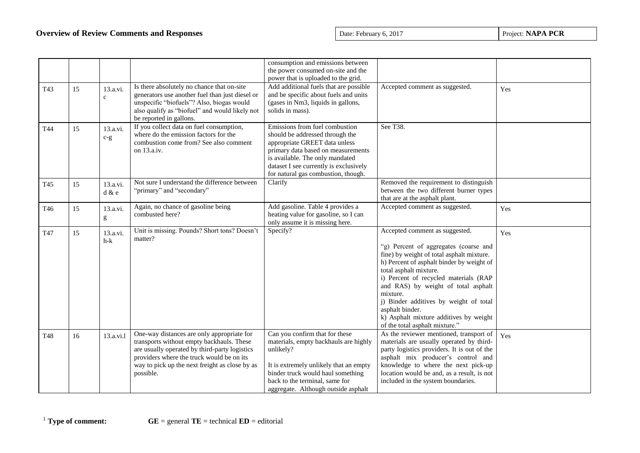|                 |    |                          |                                                                                                                                                                                                                                                      | consumption and emissions between<br>the power consumed on-site and the<br>power that is uploaded to the grid.                                                                                                                                               |                                                                                                                                                                                                                                                                                                                                                                                                                                  |     |
|-----------------|----|--------------------------|------------------------------------------------------------------------------------------------------------------------------------------------------------------------------------------------------------------------------------------------------|--------------------------------------------------------------------------------------------------------------------------------------------------------------------------------------------------------------------------------------------------------------|----------------------------------------------------------------------------------------------------------------------------------------------------------------------------------------------------------------------------------------------------------------------------------------------------------------------------------------------------------------------------------------------------------------------------------|-----|
| T43             | 15 | 13.a.vi.<br>$\mathbf c$  | Is there absolutely no chance that on-site<br>generators use another fuel than just diesel or<br>unspecific "biofuels"? Also, biogas would<br>also qualify as "biofuel" and would likely not<br>be reported in gallons.                              | Add additional fuels that are possible<br>and be specific about fuels and units<br>(gases in Nm3, liquids in gallons,<br>solids in mass).                                                                                                                    | Accepted comment as suggested.                                                                                                                                                                                                                                                                                                                                                                                                   | Yes |
| T44             | 15 | 13.a.vi.<br>$c-g$        | If you collect data on fuel consumption,<br>where do the emission factors for the<br>combustion come from? See also comment<br>on 13.a.iv.                                                                                                           | Emissions from fuel combustion<br>should be addressed through the<br>appropriate GREET data unless<br>primary data based on measurements<br>is available. The only mandated<br>dataset I see currently is exclusively<br>for natural gas combustion, though. | See T38.                                                                                                                                                                                                                                                                                                                                                                                                                         |     |
| T <sub>45</sub> | 15 | 13.a.vi.<br>$d \& e$     | Not sure I understand the difference between<br>"primary" and "secondary"                                                                                                                                                                            | Clarify                                                                                                                                                                                                                                                      | Removed the requirement to distinguish<br>between the two different burner types<br>that are at the asphalt plant.                                                                                                                                                                                                                                                                                                               |     |
| T46             | 15 | 13.a.vi.<br>$\mathbf{g}$ | Again, no chance of gasoline being<br>combusted here?                                                                                                                                                                                                | Add gasoline. Table 4 provides a<br>heating value for gasoline, so I can<br>only assume it is missing here.                                                                                                                                                  | Accepted comment as suggested.                                                                                                                                                                                                                                                                                                                                                                                                   | Yes |
| T47             | 15 | 13.a.vi.<br>$h-k$        | Unit is missing. Pounds? Short tons? Doesn't<br>matter?                                                                                                                                                                                              | Specify?                                                                                                                                                                                                                                                     | Accepted comment as suggested.<br>"g) Percent of aggregates (coarse and<br>fine) by weight of total asphalt mixture.<br>h) Percent of asphalt binder by weight of<br>total asphalt mixture.<br>i) Percent of recycled materials (RAP<br>and RAS) by weight of total asphalt<br>mixture.<br>j) Binder additives by weight of total<br>asphalt binder.<br>k) Asphalt mixture additives by weight<br>of the total asphalt mixture." | Yes |
| <b>T48</b>      | 16 | 13.a.vi.1                | One-way distances are only appropriate for<br>transports without empty backhauls. These<br>are usually operated by third-party logistics<br>providers where the truck would be on its<br>way to pick up the next freight as close by as<br>possible. | Can you confirm that for these<br>materials, empty backhauls are highly<br>unlikely?<br>It is extremely unlikely that an empty<br>binder truck would haul something<br>back to the terminal, same for<br>aggregate. Although outside asphalt                 | As the reviewer mentioned, transport of<br>materials are usually operated by third-<br>party logistics providers. It is out of the<br>asphalt mix producer's control and<br>knowledge to where the next pick-up<br>location would be and, as a result, is not<br>included in the system boundaries.                                                                                                                              | Yes |

<sup>1</sup> **Type of comment: GE** = general **TE** = technical **ED** = editorial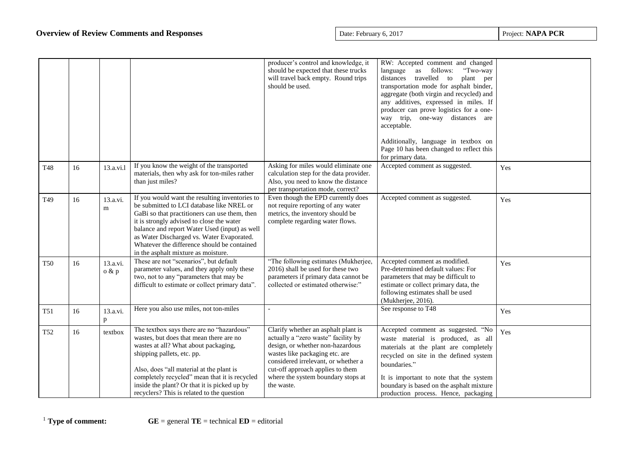|            |    |                       |                                                                                                                                                                                                                                                                                                                                                                               | producer's control and knowledge, it<br>should be expected that these trucks<br>will travel back empty. Round trips<br>should be used.                                                                                                                                          | RW: Accepted comment and changed<br>"Two-way<br>language as<br>follows:<br>plant per<br>travelled to<br>distances<br>transportation mode for asphalt binder,<br>aggregate (both virgin and recycled) and<br>any additives, expressed in miles. If<br>producer can prove logistics for a one-<br>way trip, one-way distances are<br>acceptable.<br>Additionally, language in textbox on<br>Page 10 has been changed to reflect this<br>for primary data. |     |
|------------|----|-----------------------|-------------------------------------------------------------------------------------------------------------------------------------------------------------------------------------------------------------------------------------------------------------------------------------------------------------------------------------------------------------------------------|---------------------------------------------------------------------------------------------------------------------------------------------------------------------------------------------------------------------------------------------------------------------------------|---------------------------------------------------------------------------------------------------------------------------------------------------------------------------------------------------------------------------------------------------------------------------------------------------------------------------------------------------------------------------------------------------------------------------------------------------------|-----|
| <b>T48</b> | 16 | 13.a.vi.l             | If you know the weight of the transported<br>materials, then why ask for ton-miles rather<br>than just miles?                                                                                                                                                                                                                                                                 | Asking for miles would eliminate one<br>calculation step for the data provider.<br>Also, you need to know the distance<br>per transportation mode, correct?                                                                                                                     | Accepted comment as suggested.                                                                                                                                                                                                                                                                                                                                                                                                                          | Yes |
| T49        | 16 | 13.a.vi.<br>${\bf m}$ | If you would want the resulting inventories to<br>be submitted to LCI database like NREL or<br>GaBi so that practitioners can use them, then<br>it is strongly advised to close the water<br>balance and report Water Used (input) as well<br>as Water Discharged vs. Water Evaporated.<br>Whatever the difference should be contained<br>in the asphalt mixture as moisture. | Even though the EPD currently does<br>not require reporting of any water<br>metrics, the inventory should be<br>complete regarding water flows.                                                                                                                                 | Accepted comment as suggested.                                                                                                                                                                                                                                                                                                                                                                                                                          | Yes |
| <b>T50</b> | 16 | 13.a.vi.<br>o & p     | These are not "scenarios", but default<br>parameter values, and they apply only these<br>two, not to any "parameters that may be<br>difficult to estimate or collect primary data".                                                                                                                                                                                           | "The following estimates (Mukherjee,<br>2016) shall be used for these two<br>parameters if primary data cannot be<br>collected or estimated otherwise:"                                                                                                                         | Accepted comment as modified.<br>Pre-determined default values: For<br>parameters that may be difficult to<br>estimate or collect primary data, the<br>following estimates shall be used<br>(Mukherjee, 2016).                                                                                                                                                                                                                                          | Yes |
| T51        | 16 | 13.a.vi.<br>p         | Here you also use miles, not ton-miles                                                                                                                                                                                                                                                                                                                                        |                                                                                                                                                                                                                                                                                 | See response to T48                                                                                                                                                                                                                                                                                                                                                                                                                                     | Yes |
| <b>T52</b> | 16 | textbox               | The textbox says there are no "hazardous"<br>wastes, but does that mean there are no<br>wastes at all? What about packaging,<br>shipping pallets, etc. pp.<br>Also, does "all material at the plant is<br>completely recycled" mean that it is recycled<br>inside the plant? Or that it is picked up by<br>recyclers? This is related to the question                         | Clarify whether an asphalt plant is<br>actually a "zero waste" facility by<br>design, or whether non-hazardous<br>wastes like packaging etc. are<br>considered irrelevant, or whether a<br>cut-off approach applies to them<br>where the system boundary stops at<br>the waste. | Accepted comment as suggested. "No<br>waste material is produced, as all<br>materials at the plant are completely<br>recycled on site in the defined system<br>boundaries."<br>It is important to note that the system<br>boundary is based on the asphalt mixture<br>production process. Hence, packaging                                                                                                                                              | Yes |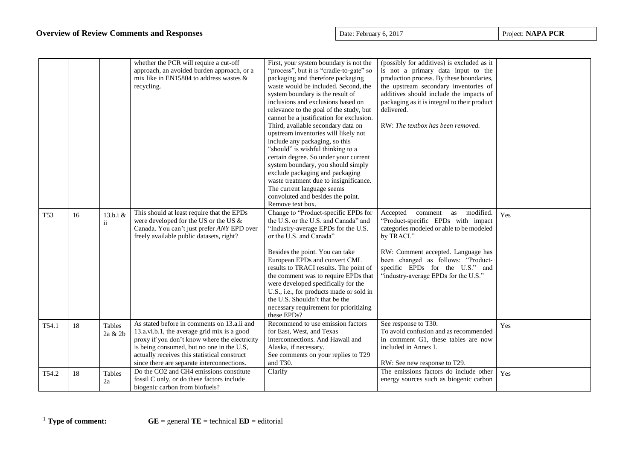|                 |    |                   | whether the PCR will require a cut-off<br>approach, an avoided burden approach, or a<br>mix like in EN15804 to address wastes &<br>recycling.                                                                                                                                          | First, your system boundary is not the<br>"process", but it is "cradle-to-gate" so<br>packaging and therefore packaging<br>waste would be included. Second, the<br>system boundary is the result of<br>inclusions and exclusions based on<br>relevance to the goal of the study, but<br>cannot be a justification for exclusion.<br>Third, available secondary data on<br>upstream inventories will likely not<br>include any packaging, so this<br>"should" is wishful thinking to a<br>certain degree. So under your current<br>system boundary, you should simply<br>exclude packaging and packaging<br>waste treatment due to insignificance.<br>The current language seems<br>convoluted and besides the point.<br>Remove text box. | (possibly for additives) is excluded as it<br>is not a primary data input to the<br>production process. By these boundaries,<br>the upstream secondary inventories of<br>additives should include the impacts of<br>packaging as it is integral to their product<br>delivered.<br>RW: The textbox has been removed. |     |
|-----------------|----|-------------------|----------------------------------------------------------------------------------------------------------------------------------------------------------------------------------------------------------------------------------------------------------------------------------------|------------------------------------------------------------------------------------------------------------------------------------------------------------------------------------------------------------------------------------------------------------------------------------------------------------------------------------------------------------------------------------------------------------------------------------------------------------------------------------------------------------------------------------------------------------------------------------------------------------------------------------------------------------------------------------------------------------------------------------------|---------------------------------------------------------------------------------------------------------------------------------------------------------------------------------------------------------------------------------------------------------------------------------------------------------------------|-----|
| T <sub>53</sub> | 16 | 13.b.i &<br>ii    | This should at least require that the EPDs<br>were developed for the US or the US &<br>Canada. You can't just prefer ANY EPD over<br>freely available public datasets, right?                                                                                                          | Change to "Product-specific EPDs for<br>the U.S. or the U.S. and Canada" and<br>"Industry-average EPDs for the U.S.<br>or the U.S. and Canada"<br>Besides the point. You can take<br>European EPDs and convert CML<br>results to TRACI results. The point of<br>the comment was to require EPDs that<br>were developed specifically for the<br>U.S., i.e., for products made or sold in<br>the U.S. Shouldn't that be the<br>necessary requirement for prioritizing<br>these EPDs?                                                                                                                                                                                                                                                       | modified.<br>Accepted<br>as<br>comment<br>"Product-specific EPDs with impact<br>categories modeled or able to be modeled<br>by TRACI."<br>RW: Comment accepted. Language has<br>been changed as follows: "Product-<br>specific EPDs for the U.S." and<br>"industry-average EPDs for the U.S."                       | Yes |
| T54.1           | 18 | Tables<br>2a & 2b | As stated before in comments on 13.a.ii and<br>13.a.vi.b.1, the average grid mix is a good<br>proxy if you don't know where the electricity<br>is being consumed, but no one in the U.S,<br>actually receives this statistical construct<br>since there are separate interconnections. | Recommend to use emission factors<br>for East, West, and Texas<br>interconnections. And Hawaii and<br>Alaska, if necessary.<br>See comments on your replies to T29<br>and T30.                                                                                                                                                                                                                                                                                                                                                                                                                                                                                                                                                           | See response to T30.<br>To avoid confusion and as recommended<br>in comment G1, these tables are now<br>included in Annex I.<br>RW: See new response to T29.                                                                                                                                                        | Yes |
| T54.2           | 18 | Tables<br>2a      | Do the CO2 and CH4 emissions constitute<br>fossil C only, or do these factors include<br>biogenic carbon from biofuels?                                                                                                                                                                | Clarify                                                                                                                                                                                                                                                                                                                                                                                                                                                                                                                                                                                                                                                                                                                                  | The emissions factors do include other<br>energy sources such as biogenic carbon                                                                                                                                                                                                                                    | Yes |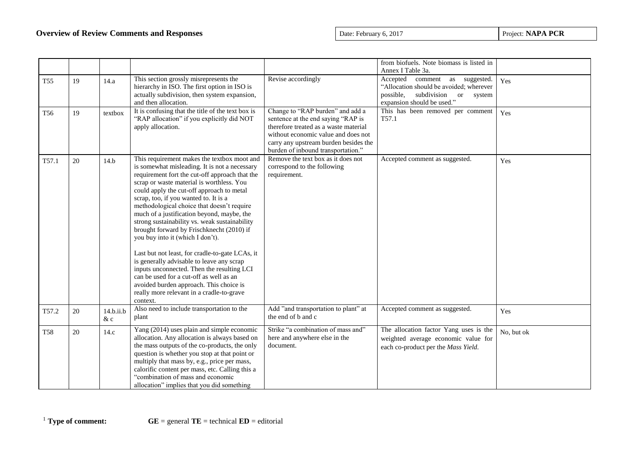|                 |    |                 |                                                                                                                                                                                                                                                                                                                                                                                                                                                                                                                                                                                                                                                                                                                                                                                                              |                                                                                                                                                                                                                                       | from biofuels. Note biomass is listed in                                                                                                                                               |            |
|-----------------|----|-----------------|--------------------------------------------------------------------------------------------------------------------------------------------------------------------------------------------------------------------------------------------------------------------------------------------------------------------------------------------------------------------------------------------------------------------------------------------------------------------------------------------------------------------------------------------------------------------------------------------------------------------------------------------------------------------------------------------------------------------------------------------------------------------------------------------------------------|---------------------------------------------------------------------------------------------------------------------------------------------------------------------------------------------------------------------------------------|----------------------------------------------------------------------------------------------------------------------------------------------------------------------------------------|------------|
| <b>T55</b>      | 19 | 14.a            | This section grossly misrepresents the<br>hierarchy in ISO. The first option in ISO is<br>actually subdivision, then system expansion,<br>and then allocation.                                                                                                                                                                                                                                                                                                                                                                                                                                                                                                                                                                                                                                               | Revise accordingly                                                                                                                                                                                                                    | Annex I Table 3a.<br>Accepted<br>comment as suggested.<br>"Allocation should be avoided; wherever<br>subdivision<br>possible,<br><sub>or</sub><br>system<br>expansion should be used." | Yes        |
| T <sub>56</sub> | 19 | textbox         | It is confusing that the title of the text box is<br>"RAP allocation" if you explicitly did NOT<br>apply allocation.                                                                                                                                                                                                                                                                                                                                                                                                                                                                                                                                                                                                                                                                                         | Change to "RAP burden" and add a<br>sentence at the end saying "RAP is<br>therefore treated as a waste material<br>without economic value and does not<br>carry any upstream burden besides the<br>burden of inbound transportation." | This has been removed per comment<br>T57.1                                                                                                                                             | Yes        |
| T57.1           | 20 | 14.b            | This requirement makes the textbox moot and<br>is somewhat misleading. It is not a necessary<br>requirement fort the cut-off approach that the<br>scrap or waste material is worthless. You<br>could apply the cut-off approach to metal<br>scrap, too, if you wanted to. It is a<br>methodological choice that doesn't require<br>much of a justification beyond, maybe, the<br>strong sustainability vs. weak sustainability<br>brought forward by Frischknecht (2010) if<br>you buy into it (which I don't).<br>Last but not least, for cradle-to-gate LCAs, it<br>is generally advisable to leave any scrap<br>inputs unconnected. Then the resulting LCI<br>can be used for a cut-off as well as an<br>avoided burden approach. This choice is<br>really more relevant in a cradle-to-grave<br>context. | Remove the text box as it does not<br>correspond to the following<br>requirement.                                                                                                                                                     | Accepted comment as suggested.                                                                                                                                                         | Yes        |
| T57.2           | 20 | 14.b.ii.b<br>&c | Also need to include transportation to the<br>plant                                                                                                                                                                                                                                                                                                                                                                                                                                                                                                                                                                                                                                                                                                                                                          | Add "and transportation to plant" at<br>the end of b and c                                                                                                                                                                            | Accepted comment as suggested.                                                                                                                                                         | Yes        |
| <b>T58</b>      | 20 | 14.c            | Yang (2014) uses plain and simple economic<br>allocation. Any allocation is always based on<br>the mass outputs of the co-products, the only<br>question is whether you stop at that point or<br>multiply that mass by, e.g., price per mass,<br>calorific content per mass, etc. Calling this a<br>"combination of mass and economic<br>allocation" implies that you did something                                                                                                                                                                                                                                                                                                                                                                                                                          | Strike "a combination of mass and"<br>here and anywhere else in the<br>document.                                                                                                                                                      | The allocation factor Yang uses is the<br>weighted average economic value for<br>each co-product per the Mass Yield.                                                                   | No, but ok |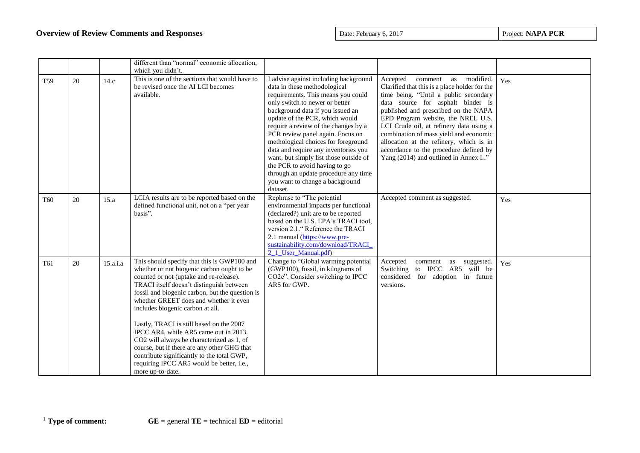|                 |    |          | different than "normal" economic allocation,<br>which you didn't.                                                                                                                                                                                                                                                                                                                                                                                                                                                                                                                                                 |                                                                                                                                                                                                                                                                                                                                                                                                                                                                                                                                                  |                                                                                                                                                                                                                                                                                                                                                                                                                                                                 |     |
|-----------------|----|----------|-------------------------------------------------------------------------------------------------------------------------------------------------------------------------------------------------------------------------------------------------------------------------------------------------------------------------------------------------------------------------------------------------------------------------------------------------------------------------------------------------------------------------------------------------------------------------------------------------------------------|--------------------------------------------------------------------------------------------------------------------------------------------------------------------------------------------------------------------------------------------------------------------------------------------------------------------------------------------------------------------------------------------------------------------------------------------------------------------------------------------------------------------------------------------------|-----------------------------------------------------------------------------------------------------------------------------------------------------------------------------------------------------------------------------------------------------------------------------------------------------------------------------------------------------------------------------------------------------------------------------------------------------------------|-----|
| <b>T59</b>      | 20 | 14.c     | This is one of the sections that would have to<br>be revised once the AI LCI becomes<br>available.                                                                                                                                                                                                                                                                                                                                                                                                                                                                                                                | I advise against including background<br>data in these methodological<br>requirements. This means you could<br>only switch to newer or better<br>background data if you issued an<br>update of the PCR, which would<br>require a review of the changes by a<br>PCR review panel again. Focus on<br>methological choices for foreground<br>data and require any inventories you<br>want, but simply list those outside of<br>the PCR to avoid having to go<br>through an update procedure any time<br>you want to change a background<br>dataset. | Accepted<br>comment as modified.<br>Clarified that this is a place holder for the<br>time being. "Until a public secondary<br>data source for asphalt binder is<br>published and prescribed on the NAPA<br>EPD Program website, the NREL U.S.<br>LCI Crude oil, at refinery data using a<br>combination of mass yield and economic<br>allocation at the refinery, which is in<br>accordance to the procedure defined by<br>Yang (2014) and outlined in Annex I" | Yes |
| <b>T60</b>      | 20 | 15.a     | LCIA results are to be reported based on the<br>defined functional unit, not on a "per year<br>basis".                                                                                                                                                                                                                                                                                                                                                                                                                                                                                                            | Rephrase to "The potential<br>environmental impacts per functional<br>(declared?) unit are to be reported<br>based on the U.S. EPA's TRACI tool,<br>version 2.1." Reference the TRACI<br>2.1 manual (https://www.pre-<br>sustainability.com/download/TRACI<br>2 1 User Manual.pdf)                                                                                                                                                                                                                                                               | Accepted comment as suggested.                                                                                                                                                                                                                                                                                                                                                                                                                                  | Yes |
| T <sub>61</sub> | 20 | 15.a.i.a | This should specify that this is GWP100 and<br>whether or not biogenic carbon ought to be<br>counted or not (uptake and re-release).<br>TRACI itself doesn't distinguish between<br>fossil and biogenic carbon, but the question is<br>whether GREET does and whether it even<br>includes biogenic carbon at all.<br>Lastly, TRACI is still based on the 2007<br>IPCC AR4, while AR5 came out in 2013.<br>CO2 will always be characterized as 1, of<br>course, but if there are any other GHG that<br>contribute significantly to the total GWP,<br>requiring IPCC AR5 would be better, i.e.,<br>more up-to-date. | Change to "Global warming potential<br>(GWP100), fossil, in kilograms of<br>CO2e". Consider switching to IPCC<br>AR5 for GWP.                                                                                                                                                                                                                                                                                                                                                                                                                    | Accepted<br>comment<br>as<br>suggested.<br>Switching to IPCC AR5 will be<br>considered for adoption in future<br>versions.                                                                                                                                                                                                                                                                                                                                      | Yes |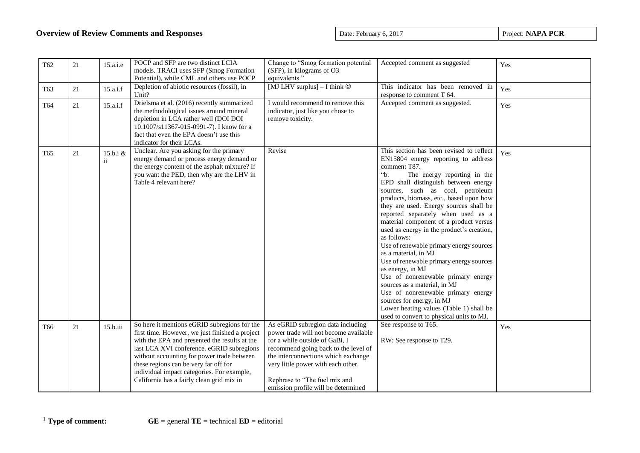| T62             | 21 | 15.a.i.e                  | POCP and SFP are two distinct LCIA<br>models. TRACI uses SFP (Smog Formation<br>Potential), while CML and others use POCP                                                                                                                                                                                                                                                       | Change to "Smog formation potential<br>(SFP), in kilograms of O3<br>equivalents."                                                                                                                                                                                                                         | Accepted comment as suggested                                                                                                                                                                                                                                                                                                                                                                                                                                                                                                                                                                                                                                                                                                                                                                                               | Yes |
|-----------------|----|---------------------------|---------------------------------------------------------------------------------------------------------------------------------------------------------------------------------------------------------------------------------------------------------------------------------------------------------------------------------------------------------------------------------|-----------------------------------------------------------------------------------------------------------------------------------------------------------------------------------------------------------------------------------------------------------------------------------------------------------|-----------------------------------------------------------------------------------------------------------------------------------------------------------------------------------------------------------------------------------------------------------------------------------------------------------------------------------------------------------------------------------------------------------------------------------------------------------------------------------------------------------------------------------------------------------------------------------------------------------------------------------------------------------------------------------------------------------------------------------------------------------------------------------------------------------------------------|-----|
| T63             | 21 | 15.a.i.f                  | Depletion of abiotic resources (fossil), in<br>Unit?                                                                                                                                                                                                                                                                                                                            | [MJ LHV surplus] $-$ I think $\odot$                                                                                                                                                                                                                                                                      | This indicator has been removed in<br>response to comment T 64.                                                                                                                                                                                                                                                                                                                                                                                                                                                                                                                                                                                                                                                                                                                                                             | Yes |
| T64             | 21 | 15.a.i.f                  | Drielsma et al. (2016) recently summarized<br>the methodological issues around mineral<br>depletion in LCA rather well (DOI DOI<br>10.1007/s11367-015-0991-7). I know for a<br>fact that even the EPA doesn't use this<br>indicator for their LCAs.                                                                                                                             | I would recommend to remove this<br>indicator, just like you chose to<br>remove toxicity.                                                                                                                                                                                                                 | Accepted comment as suggested.                                                                                                                                                                                                                                                                                                                                                                                                                                                                                                                                                                                                                                                                                                                                                                                              | Yes |
| T65             | 21 | 15.b.i &<br>$\mathbf{ii}$ | Unclear. Are you asking for the primary<br>energy demand or process energy demand or<br>the energy content of the asphalt mixture? If<br>you want the PED, then why are the LHV in<br>Table 4 relevant here?                                                                                                                                                                    | Revise                                                                                                                                                                                                                                                                                                    | This section has been revised to reflect<br>EN15804 energy reporting to address<br>comment T87.<br>$\cdot$ b.<br>The energy reporting in the<br>EPD shall distinguish between energy<br>sources, such as coal, petroleum<br>products, biomass, etc., based upon how<br>they are used. Energy sources shall be<br>reported separately when used as a<br>material component of a product versus<br>used as energy in the product's creation,<br>as follows:<br>Use of renewable primary energy sources<br>as a material, in MJ<br>Use of renewable primary energy sources<br>as energy, in MJ<br>Use of nonrenewable primary energy<br>sources as a material, in MJ<br>Use of nonrenewable primary energy<br>sources for energy, in MJ<br>Lower heating values (Table 1) shall be<br>used to convert to physical units to MJ. | Yes |
| T <sub>66</sub> | 21 | 15.b.iii                  | So here it mentions eGRID subregions for the<br>first time. However, we just finished a project<br>with the EPA and presented the results at the<br>last LCA XVI conference. eGRID subregions<br>without accounting for power trade between<br>these regions can be very far off for<br>individual impact categories. For example,<br>California has a fairly clean grid mix in | As eGRID subregion data including<br>power trade will not become available<br>for a while outside of GaBi, I<br>recommend going back to the level of<br>the interconnections which exchange<br>very little power with each other.<br>Rephrase to "The fuel mix and<br>emission profile will be determined | See response to T65.<br>RW: See response to T29.                                                                                                                                                                                                                                                                                                                                                                                                                                                                                                                                                                                                                                                                                                                                                                            | Yes |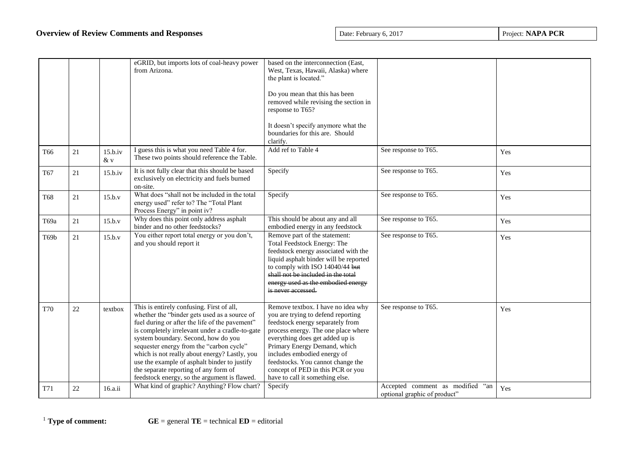|                   |    |                  | eGRID, but imports lots of coal-heavy power<br>from Arizona.                                                                                                                                                                                                                                                                                                                                                                                                                | based on the interconnection (East,<br>West, Texas, Hawaii, Alaska) where<br>the plant is located."<br>Do you mean that this has been<br>removed while revising the section in<br>response to T65?<br>It doesn't specify anymore what the<br>boundaries for this are. Should<br>clarify.                                                                           |                                                                  |     |
|-------------------|----|------------------|-----------------------------------------------------------------------------------------------------------------------------------------------------------------------------------------------------------------------------------------------------------------------------------------------------------------------------------------------------------------------------------------------------------------------------------------------------------------------------|--------------------------------------------------------------------------------------------------------------------------------------------------------------------------------------------------------------------------------------------------------------------------------------------------------------------------------------------------------------------|------------------------------------------------------------------|-----|
| T <sub>66</sub>   | 21 | 15.b.iv<br>$&$ v | I guess this is what you need Table 4 for.<br>These two points should reference the Table.                                                                                                                                                                                                                                                                                                                                                                                  | Add ref to Table 4                                                                                                                                                                                                                                                                                                                                                 | See response to T65.                                             | Yes |
| T67               | 21 | 15.b.iv          | It is not fully clear that this should be based<br>exclusively on electricity and fuels burned<br>on-site.                                                                                                                                                                                                                                                                                                                                                                  | Specify                                                                                                                                                                                                                                                                                                                                                            | See response to T65.                                             | Yes |
| <b>T68</b>        | 21 | 15.b.v           | What does "shall not be included in the total<br>energy used" refer to? The "Total Plant<br>Process Energy" in point iv?                                                                                                                                                                                                                                                                                                                                                    | Specify                                                                                                                                                                                                                                                                                                                                                            | See response to T65.                                             | Yes |
| T69a              | 21 | 15.b.v           | Why does this point only address asphalt<br>binder and no other feedstocks?                                                                                                                                                                                                                                                                                                                                                                                                 | This should be about any and all<br>embodied energy in any feedstock                                                                                                                                                                                                                                                                                               | See response to T65.                                             | Yes |
| T <sub>69</sub> b | 21 | 15.b.v           | You either report total energy or you don't,<br>and you should report it                                                                                                                                                                                                                                                                                                                                                                                                    | Remove part of the statement:<br><b>Total Feedstock Energy: The</b><br>feedstock energy associated with the<br>liquid asphalt binder will be reported<br>to comply with ISO 14040/44 but<br>shall not be included in the total<br>energy used as the embodied energy<br>is never accessed.                                                                         | See response to T65.                                             | Yes |
| <b>T70</b>        | 22 | textbox          | This is entirely confusing. First of all,<br>whether the "binder gets used as a source of<br>fuel during or after the life of the pavement"<br>is completely irrelevant under a cradle-to-gate<br>system boundary. Second, how do you<br>sequester energy from the "carbon cycle"<br>which is not really about energy? Lastly, you<br>use the example of asphalt binder to justify<br>the separate reporting of any form of<br>feedstock energy, so the argument is flawed. | Remove textbox. I have no idea why<br>you are trying to defend reporting<br>feedstock energy separately from<br>process energy. The one place where<br>everything does get added up is<br>Primary Energy Demand, which<br>includes embodied energy of<br>feedstocks. You cannot change the<br>concept of PED in this PCR or you<br>have to call it something else. | See response to T65.                                             | Yes |
| T71               | 22 | 16.a.ii          | What kind of graphic? Anything? Flow chart?                                                                                                                                                                                                                                                                                                                                                                                                                                 | Specify                                                                                                                                                                                                                                                                                                                                                            | Accepted comment as modified "an<br>optional graphic of product" | Yes |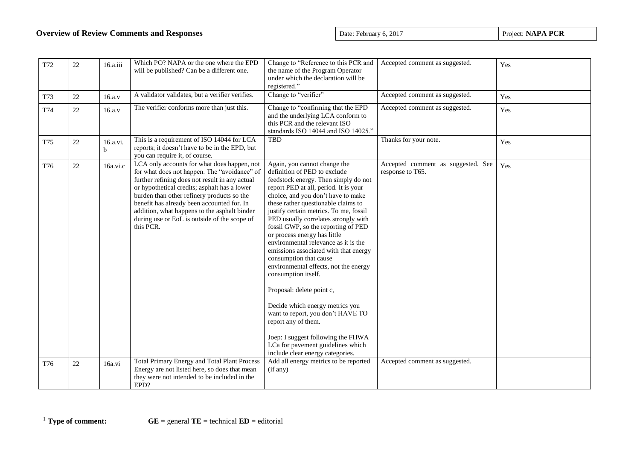| T72 | 22 | 16.a.iii      | Which PO? NAPA or the one where the EPD<br>will be published? Can be a different one.                                                                                                                                                                                                                                                                                                                  | Change to "Reference to this PCR and<br>the name of the Program Operator<br>under which the declaration will be<br>registered."                                                                                                                                                                                                                                                                                                                                                                                                                                                                                                                                                                                                                                                                           | Accepted comment as suggested.                         | Yes |
|-----|----|---------------|--------------------------------------------------------------------------------------------------------------------------------------------------------------------------------------------------------------------------------------------------------------------------------------------------------------------------------------------------------------------------------------------------------|-----------------------------------------------------------------------------------------------------------------------------------------------------------------------------------------------------------------------------------------------------------------------------------------------------------------------------------------------------------------------------------------------------------------------------------------------------------------------------------------------------------------------------------------------------------------------------------------------------------------------------------------------------------------------------------------------------------------------------------------------------------------------------------------------------------|--------------------------------------------------------|-----|
| T73 | 22 | 16.a.v        | A validator validates, but a verifier verifies.                                                                                                                                                                                                                                                                                                                                                        | Change to "verifier"                                                                                                                                                                                                                                                                                                                                                                                                                                                                                                                                                                                                                                                                                                                                                                                      | Accepted comment as suggested.                         | Yes |
| T74 | 22 | 16.a.v        | The verifier conforms more than just this.                                                                                                                                                                                                                                                                                                                                                             | Change to "confirming that the EPD<br>and the underlying LCA conform to<br>this PCR and the relevant ISO<br>standards ISO 14044 and ISO 14025."                                                                                                                                                                                                                                                                                                                                                                                                                                                                                                                                                                                                                                                           | Accepted comment as suggested.                         | Yes |
| T75 | 22 | 16.a.vi.<br>b | This is a requirement of ISO 14044 for LCA<br>reports; it doesn't have to be in the EPD, but<br>you can require it, of course.                                                                                                                                                                                                                                                                         | <b>TBD</b>                                                                                                                                                                                                                                                                                                                                                                                                                                                                                                                                                                                                                                                                                                                                                                                                | Thanks for your note.                                  | Yes |
| T76 | 22 | 16a.vi.c      | LCA only accounts for what does happen, not<br>for what does not happen. The "avoidance" of<br>further refining does not result in any actual<br>or hypothetical credits; asphalt has a lower<br>burden than other refinery products so the<br>benefit has already been accounted for. In<br>addition, what happens to the asphalt binder<br>during use or EoL is outside of the scope of<br>this PCR. | Again, you cannot change the<br>definition of PED to exclude<br>feedstock energy. Then simply do not<br>report PED at all, period. It is your<br>choice, and you don't have to make<br>these rather questionable claims to<br>justify certain metrics. To me, fossil<br>PED usually correlates strongly with<br>fossil GWP, so the reporting of PED<br>or process energy has little<br>environmental relevance as it is the<br>emissions associated with that energy<br>consumption that cause<br>environmental effects, not the energy<br>consumption itself.<br>Proposal: delete point c,<br>Decide which energy metrics you<br>want to report, you don't HAVE TO<br>report any of them.<br>Joep: I suggest following the FHWA<br>LCa for pavement guidelines which<br>include clear energy categories. | Accepted comment as suggested. See<br>response to T65. | Yes |
| T76 | 22 | 16a.vi        | <b>Total Primary Energy and Total Plant Process</b><br>Energy are not listed here, so does that mean                                                                                                                                                                                                                                                                                                   | Add all energy metrics to be reported<br>(if any)                                                                                                                                                                                                                                                                                                                                                                                                                                                                                                                                                                                                                                                                                                                                                         | Accepted comment as suggested.                         |     |
|     |    |               | they were not intended to be included in the<br>EPD?                                                                                                                                                                                                                                                                                                                                                   |                                                                                                                                                                                                                                                                                                                                                                                                                                                                                                                                                                                                                                                                                                                                                                                                           |                                                        |     |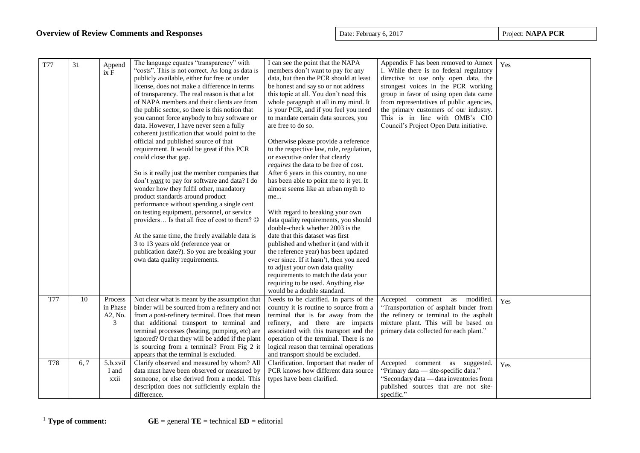| <b>T77</b> | 31              | Append<br>ix F                      | The language equates "transparency" with<br>"costs". This is not correct. As long as data is<br>publicly available, either for free or under<br>license, does not make a difference in terms<br>of transparency. The real reason is that a lot<br>of NAPA members and their clients are from<br>the public sector, so there is this notion that<br>you cannot force anybody to buy software or<br>data. However, I have never seen a fully<br>coherent justification that would point to the<br>official and published source of that<br>requirement. It would be great if this PCR<br>could close that gap.<br>So is it really just the member companies that<br>don't want to pay for software and data? I do<br>wonder how they fulfil other, mandatory<br>product standards around product<br>performance without spending a single cent<br>on testing equipment, personnel, or service<br>providers Is that all free of cost to them? $\circledcirc$<br>At the same time, the freely available data is<br>3 to 13 years old (reference year or<br>publication date?). So you are breaking your<br>own data quality requirements. | I can see the point that the NAPA<br>members don't want to pay for any<br>data, but then the PCR should at least<br>be honest and say so or not address<br>this topic at all. You don't need this<br>whole paragraph at all in my mind. It<br>is your PCR, and if you feel you need<br>to mandate certain data sources, you<br>are free to do so.<br>Otherwise please provide a reference<br>to the respective law, rule, regulation,<br>or executive order that clearly<br>requires the data to be free of cost.<br>After 6 years in this country, no one<br>has been able to point me to it yet. It<br>almost seems like an urban myth to<br>me<br>With regard to breaking your own<br>data quality requirements, you should<br>double-check whether 2003 is the<br>date that this dataset was first<br>published and whether it (and with it<br>the reference year) has been updated<br>ever since. If it hasn't, then you need<br>to adjust your own data quality<br>requirements to match the data your<br>requiring to be used. Anything else<br>would be a double standard. | Appendix F has been removed to Annex<br>I. While there is no federal regulatory<br>directive to use only open data, the<br>strongest voices in the PCR working<br>group in favor of using open data came<br>from representatives of public agencies,<br>the primary customers of our industry.<br>This is in line with OMB's CIO<br>Council's Project Open Data initiative. | Yes |
|------------|-----------------|-------------------------------------|---------------------------------------------------------------------------------------------------------------------------------------------------------------------------------------------------------------------------------------------------------------------------------------------------------------------------------------------------------------------------------------------------------------------------------------------------------------------------------------------------------------------------------------------------------------------------------------------------------------------------------------------------------------------------------------------------------------------------------------------------------------------------------------------------------------------------------------------------------------------------------------------------------------------------------------------------------------------------------------------------------------------------------------------------------------------------------------------------------------------------------------|------------------------------------------------------------------------------------------------------------------------------------------------------------------------------------------------------------------------------------------------------------------------------------------------------------------------------------------------------------------------------------------------------------------------------------------------------------------------------------------------------------------------------------------------------------------------------------------------------------------------------------------------------------------------------------------------------------------------------------------------------------------------------------------------------------------------------------------------------------------------------------------------------------------------------------------------------------------------------------------------------------------------------------------------------------------------------------|-----------------------------------------------------------------------------------------------------------------------------------------------------------------------------------------------------------------------------------------------------------------------------------------------------------------------------------------------------------------------------|-----|
| <b>T77</b> | $\overline{10}$ | Process<br>in Phase<br>A2, No.<br>3 | Not clear what is meant by the assumption that<br>binder will be sourced from a refinery and not<br>from a post-refinery terminal. Does that mean<br>that additional transport to terminal and<br>terminal processes (heating, pumping, etc) are<br>ignored? Or that they will be added if the plant<br>is sourcing from a terminal? From Fig 2 it<br>appears that the terminal is excluded.                                                                                                                                                                                                                                                                                                                                                                                                                                                                                                                                                                                                                                                                                                                                          | Needs to be clarified. In parts of the<br>country it is routine to source from a<br>terminal that is far away from the<br>refinery, and there are impacts<br>associated with this transport and the<br>operation of the terminal. There is no<br>logical reason that terminal operations<br>and transport should be excluded.                                                                                                                                                                                                                                                                                                                                                                                                                                                                                                                                                                                                                                                                                                                                                      | Accepted comment<br>modified.<br>as<br>"Transportation of asphalt binder from<br>the refinery or terminal to the asphalt<br>mixture plant. This will be based on<br>primary data collected for each plant."                                                                                                                                                                 | Yes |
| T78        | 6, 7            | 5.b.xviI<br>I and<br>xxii           | Clarify observed and measured by whom? All<br>data must have been observed or measured by<br>someone, or else derived from a model. This<br>description does not sufficiently explain the<br>difference.                                                                                                                                                                                                                                                                                                                                                                                                                                                                                                                                                                                                                                                                                                                                                                                                                                                                                                                              | Clarification. Important that reader of<br>PCR knows how different data source<br>types have been clarified.                                                                                                                                                                                                                                                                                                                                                                                                                                                                                                                                                                                                                                                                                                                                                                                                                                                                                                                                                                       | Accepted comment as<br>suggested.<br>"Primary data — site-specific data."<br>"Secondary data — data inventories from<br>published sources that are not site-<br>specific."                                                                                                                                                                                                  | Yes |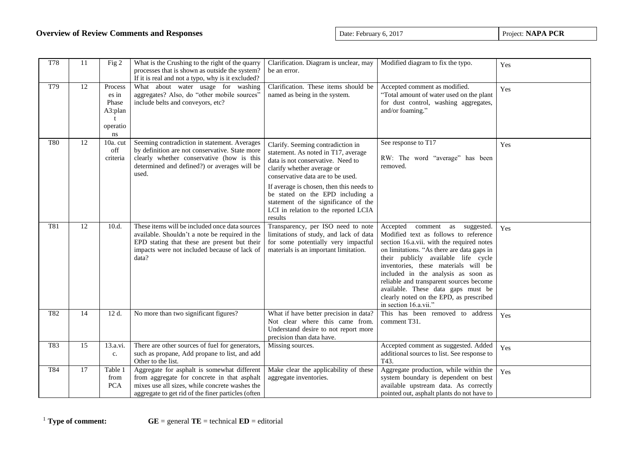| <b>T78</b> | 11              | Fig 2                                                  | What is the Crushing to the right of the quarry<br>processes that is shown as outside the system?<br>If it is real and not a typo, why is it excluded?                                                    | Clarification. Diagram is unclear, may<br>be an error.                                                                                                                           | Modified diagram to fix the typo.                                                                                                                                                                                                                                                                                                                                                                                                                | Yes |
|------------|-----------------|--------------------------------------------------------|-----------------------------------------------------------------------------------------------------------------------------------------------------------------------------------------------------------|----------------------------------------------------------------------------------------------------------------------------------------------------------------------------------|--------------------------------------------------------------------------------------------------------------------------------------------------------------------------------------------------------------------------------------------------------------------------------------------------------------------------------------------------------------------------------------------------------------------------------------------------|-----|
| T79        | 12              | Process<br>es in<br>Phase<br>A3:plan<br>operatio<br>ns | What about water usage for washing<br>aggregates? Also, do "other mobile sources"<br>include belts and conveyors, etc?                                                                                    | Clarification. These items should be<br>named as being in the system.                                                                                                            | Accepted comment as modified.<br>"Total amount of water used on the plant<br>for dust control, washing aggregates,<br>and/or foaming."                                                                                                                                                                                                                                                                                                           | Yes |
| <b>T80</b> | 12              | $10a$ . cut<br>off<br>criteria                         | Seeming contradiction in statement. Averages<br>by definition are not conservative. State more<br>clearly whether conservative (how is this<br>determined and defined?) or averages will be<br>used.      | Clarify. Seeming contradiction in<br>statement. As noted in T17, average<br>data is not conservative. Need to<br>clarify whether average or<br>conservative data are to be used. | See response to T17<br>RW: The word "average" has been<br>removed.                                                                                                                                                                                                                                                                                                                                                                               | Yes |
|            |                 |                                                        |                                                                                                                                                                                                           | If average is chosen, then this needs to<br>be stated on the EPD including a<br>statement of the significance of the<br>LCI in relation to the reported LCIA<br>results          |                                                                                                                                                                                                                                                                                                                                                                                                                                                  |     |
| <b>T81</b> | 12              | 10.d.                                                  | These items will be included once data sources<br>available. Shouldn't a note be required in the<br>EPD stating that these are present but their<br>impacts were not included because of lack of<br>data? | Transparency, per ISO need to note<br>limitations of study, and lack of data<br>for some potentially very impactful<br>materials is an important limitation.                     | Accepted comment as<br>suggested.<br>Modified text as follows to reference<br>section 16.a.vii. with the required notes<br>on limitations. "As there are data gaps in<br>their publicly available life cycle<br>inventories, these materials will be<br>included in the analysis as soon as<br>reliable and transparent sources become<br>available. These data gaps must be<br>clearly noted on the EPD, as prescribed<br>in section 16.a.vii." | Yes |
| T82        | $\overline{14}$ | 12 d.                                                  | No more than two significant figures?                                                                                                                                                                     | What if have better precision in data?<br>Not clear where this came from.<br>Understand desire to not report more<br>precision than data have.                                   | This has been removed to address<br>comment T31.                                                                                                                                                                                                                                                                                                                                                                                                 | Yes |
| T83        | 15              | 13.a.vi.<br>c.                                         | There are other sources of fuel for generators,<br>such as propane, Add propane to list, and add<br>Other to the list.                                                                                    | Missing sources.                                                                                                                                                                 | Accepted comment as suggested. Added<br>additional sources to list. See response to<br>T43.                                                                                                                                                                                                                                                                                                                                                      | Yes |
| T84        | $17\,$          | Table 1<br>from<br>PCA                                 | Aggregate for asphalt is somewhat different<br>from aggregate for concrete in that asphalt<br>mixes use all sizes, while concrete washes the<br>aggregate to get rid of the finer particles (often        | Make clear the applicability of these<br>aggregate inventories.                                                                                                                  | Aggregate production, while within the<br>system boundary is dependent on best<br>available upstream data. As correctly<br>pointed out, asphalt plants do not have to                                                                                                                                                                                                                                                                            | Yes |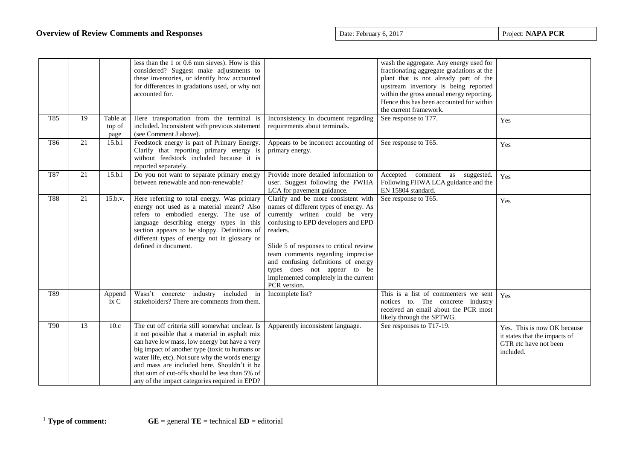|            |    |                            | less than the 1 or 0.6 mm sieves). How is this<br>considered? Suggest make adjustments to<br>these inventories, or identify how accounted<br>for differences in gradations used, or why not<br>accounted for.                                                                                                                                                                                             |                                                                                                                                                                                                                                                                                                                                                                                    | wash the aggregate. Any energy used for<br>fractionating aggregate gradations at the<br>plant that is not already part of the<br>upstream inventory is being reported<br>within the gross annual energy reporting.<br>Hence this has been accounted for within<br>the current framework. |                                                                                                    |
|------------|----|----------------------------|-----------------------------------------------------------------------------------------------------------------------------------------------------------------------------------------------------------------------------------------------------------------------------------------------------------------------------------------------------------------------------------------------------------|------------------------------------------------------------------------------------------------------------------------------------------------------------------------------------------------------------------------------------------------------------------------------------------------------------------------------------------------------------------------------------|------------------------------------------------------------------------------------------------------------------------------------------------------------------------------------------------------------------------------------------------------------------------------------------|----------------------------------------------------------------------------------------------------|
| T85        | 19 | Table at<br>top of<br>page | Here transportation from the terminal is<br>included. Inconsistent with previous statement<br>(see Comment J above).                                                                                                                                                                                                                                                                                      | Inconsistency in document regarding<br>requirements about terminals.                                                                                                                                                                                                                                                                                                               | See response to T77.                                                                                                                                                                                                                                                                     | Yes                                                                                                |
| T86        | 21 | 15.b.i                     | Feedstock energy is part of Primary Energy.<br>Clarify that reporting primary energy is<br>without feedstock included because it is<br>reported separately.                                                                                                                                                                                                                                               | Appears to be incorrect accounting of<br>primary energy.                                                                                                                                                                                                                                                                                                                           | See response to T65.                                                                                                                                                                                                                                                                     | Yes                                                                                                |
| <b>T87</b> | 21 | 15.b.i                     | Do you not want to separate primary energy<br>between renewable and non-renewable?                                                                                                                                                                                                                                                                                                                        | Provide more detailed information to<br>user. Suggest following the FWHA<br>LCA for pavement guidance.                                                                                                                                                                                                                                                                             | Accepted<br>comment as suggested.<br>Following FHWA LCA guidance and the<br>EN 15804 standard.                                                                                                                                                                                           | Yes                                                                                                |
| <b>T88</b> | 21 | 15.b.v.                    | Here referring to total energy. Was primary<br>energy not used as a material meant? Also<br>refers to embodied energy. The use of<br>language describing energy types in this<br>section appears to be sloppy. Definitions of<br>different types of energy not in glossary or<br>defined in document.                                                                                                     | Clarify and be more consistent with<br>names of different types of energy. As<br>currently written could be very<br>confusing to EPD developers and EPD<br>readers.<br>Slide 5 of responses to critical review<br>team comments regarding imprecise<br>and confusing definitions of energy<br>types does not appear to be<br>implemented completely in the current<br>PCR version. | See response to T65.                                                                                                                                                                                                                                                                     | Yes                                                                                                |
| T89        |    | Append<br>ix C             | Wasn't concrete industry included in<br>stakeholders? There are comments from them.                                                                                                                                                                                                                                                                                                                       | Incomplete list?                                                                                                                                                                                                                                                                                                                                                                   | This is a list of commenters we sent<br>notices to. The concrete industry<br>received an email about the PCR most<br>likely through the SPTWG.                                                                                                                                           | Yes                                                                                                |
| <b>T90</b> | 13 | 10.c                       | The cut off criteria still somewhat unclear. Is<br>it not possible that a material in asphalt mix<br>can have low mass, low energy but have a very<br>big impact of another type (toxic to humans or<br>water life, etc). Not sure why the words energy<br>and mass are included here. Shouldn't it be<br>that sum of cut-offs should be less than 5% of<br>any of the impact categories required in EPD? | Apparently inconsistent language.                                                                                                                                                                                                                                                                                                                                                  | See responses to T17-19.                                                                                                                                                                                                                                                                 | Yes. This is now OK because<br>it states that the impacts of<br>GTR etc have not been<br>included. |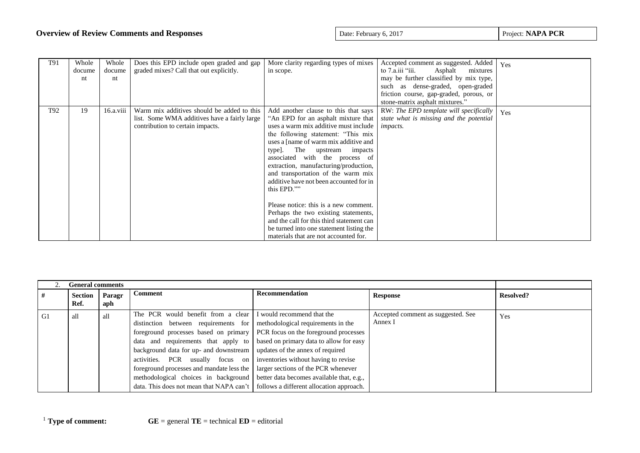| T91 | Whole<br>docume<br>nt | Whole<br>docume<br>nt | Does this EPD include open graded and gap<br>graded mixes? Call that out explicitly.                                           | More clarity regarding types of mixes<br>in scope.                                                                                                                                                                                                                                                                                                                                                                                                                                                                                                                                                                               | Accepted comment as suggested. Added<br>to $7. a$ . iii "iii.<br>Asphalt<br>mixtures<br>may be further classified by mix type,<br>such as dense-graded, open-graded<br>friction course, gap-graded, porous, or<br>stone-matrix asphalt mixtures." | Yes |
|-----|-----------------------|-----------------------|--------------------------------------------------------------------------------------------------------------------------------|----------------------------------------------------------------------------------------------------------------------------------------------------------------------------------------------------------------------------------------------------------------------------------------------------------------------------------------------------------------------------------------------------------------------------------------------------------------------------------------------------------------------------------------------------------------------------------------------------------------------------------|---------------------------------------------------------------------------------------------------------------------------------------------------------------------------------------------------------------------------------------------------|-----|
| T92 | 19                    | 16.a.viii             | Warm mix additives should be added to this<br>list. Some WMA additives have a fairly large<br>contribution to certain impacts. | Add another clause to this that says<br>"An EPD for an asphalt mixture that<br>uses a warm mix additive must include<br>the following statement: "This mix<br>uses a [name of warm mix additive and<br>type]. The upstream impacts<br>associated with the process of<br>extraction, manufacturing/production,<br>and transportation of the warm mix<br>additive have not been accounted for in<br>this EPD.""<br>Please notice: this is a new comment.<br>Perhaps the two existing statements,<br>and the call for this third statement can<br>be turned into one statement listing the<br>materials that are not accounted for. | RW: The EPD template will specifically<br>state what is missing and the potential<br><i>impacts.</i>                                                                                                                                              | Yes |

|    | <b>General comments</b> |               |                                                                                           |                                                           |                                               |                  |
|----|-------------------------|---------------|-------------------------------------------------------------------------------------------|-----------------------------------------------------------|-----------------------------------------------|------------------|
| #  | <b>Section</b><br>Ref.  | Paragr<br>aph | Comment                                                                                   | Recommendation                                            | <b>Response</b>                               | <b>Resolved?</b> |
| G1 | all                     | all           | The PCR would benefit from a clear                                                        | I would recommend that the                                | Accepted comment as suggested. See<br>Annex I | Yes              |
|    |                         |               | distinction between requirements for                                                      | methodological requirements in the                        |                                               |                  |
|    |                         |               | foreground processes based on primary                                                     | <b>PCR</b> focus on the foreground processes              |                                               |                  |
|    |                         |               | data and requirements that apply to based on primary data to allow for easy               |                                                           |                                               |                  |
|    |                         |               | background data for up- and downstream   updates of the annex of required                 |                                                           |                                               |                  |
|    |                         |               | activities.                                                                               | PCR usually focus on inventories without having to revise |                                               |                  |
|    |                         |               | foreground processes and mandate less the                                                 | larger sections of the PCR whenever                       |                                               |                  |
|    |                         |               | methodological choices in background                                                      | better data becomes available that, e.g.,                 |                                               |                  |
|    |                         |               | data. This does not mean that NAPA can't $\vert$ follows a different allocation approach. |                                                           |                                               |                  |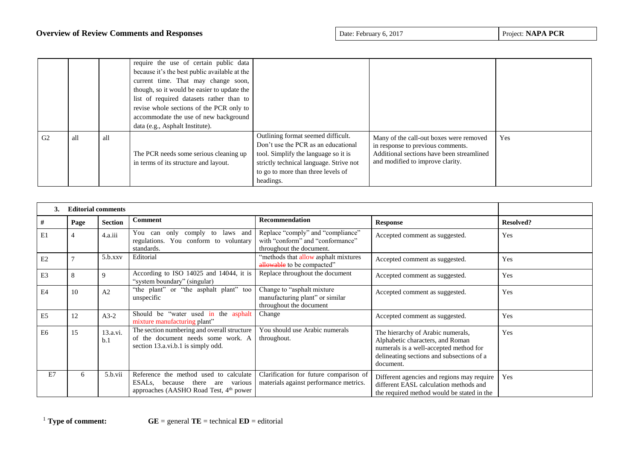|                |     |     | require the use of certain public data<br>because it's the best public available at the<br>current time. That may change soon,<br>though, so it would be easier to update the<br>list of required datasets rather than to<br>revise whole sections of the PCR only to<br>accommodate the use of new background<br>data (e.g., Asphalt Institute). |                                                                                                                                                                                                                 |                                                                                                                                                               |     |
|----------------|-----|-----|---------------------------------------------------------------------------------------------------------------------------------------------------------------------------------------------------------------------------------------------------------------------------------------------------------------------------------------------------|-----------------------------------------------------------------------------------------------------------------------------------------------------------------------------------------------------------------|---------------------------------------------------------------------------------------------------------------------------------------------------------------|-----|
| G <sub>2</sub> | all | all | The PCR needs some serious cleaning up<br>in terms of its structure and layout.                                                                                                                                                                                                                                                                   | Outlining format seemed difficult.<br>Don't use the PCR as an educational<br>tool. Simplify the language so it is<br>strictly technical language. Strive not<br>to go to more than three levels of<br>headings. | Many of the call-out boxes were removed<br>in response to previous comments.<br>Additional sections have been streamlined<br>and modified to improve clarity. | Yes |

| 3.             | <b>Editorial comments</b> |                 |                                                                                                                                     |                                                                                                   |                                                                                                                                                                           |                  |  |
|----------------|---------------------------|-----------------|-------------------------------------------------------------------------------------------------------------------------------------|---------------------------------------------------------------------------------------------------|---------------------------------------------------------------------------------------------------------------------------------------------------------------------------|------------------|--|
| #              | Page                      | <b>Section</b>  | <b>Comment</b>                                                                                                                      | Recommendation                                                                                    | <b>Response</b>                                                                                                                                                           | <b>Resolved?</b> |  |
| E1             | 4                         | 4.a.iii         | You can only comply to laws and<br>regulations. You conform to voluntary<br>standards.                                              | Replace "comply" and "compliance"<br>with "conform" and "conformance"<br>throughout the document. | Accepted comment as suggested.                                                                                                                                            | Yes              |  |
| E2             |                           | $5.b.$ xx $v$   | Editorial                                                                                                                           | "methods that allow asphalt mixtures<br>allowable to be compacted"                                | Accepted comment as suggested.                                                                                                                                            | Yes              |  |
| E <sub>3</sub> | 8                         | 9               | According to ISO 14025 and 14044, it is<br>"system boundary" (singular)                                                             | Replace throughout the document                                                                   | Accepted comment as suggested.                                                                                                                                            | Yes              |  |
| E <sub>4</sub> | 10                        | A <sub>2</sub>  | "the plant" or "the asphalt plant" too<br>unspecific                                                                                | Change to "asphalt mixture<br>manufacturing plant" or similar<br>throughout the document          | Accepted comment as suggested.                                                                                                                                            | Yes              |  |
| E <sub>5</sub> | 12                        | $A3-2$          | Should be "water used in the asphalt<br>mixture manufacturing plant"                                                                | Change                                                                                            | Accepted comment as suggested.                                                                                                                                            | Yes              |  |
| E <sub>6</sub> | 15                        | 13.a.vi.<br>b.1 | The section numbering and overall structure<br>of the document needs some work. A<br>section 13.a.vi.b.1 is simply odd.             | You should use Arabic numerals<br>throughout.                                                     | The hierarchy of Arabic numerals,<br>Alphabetic characters, and Roman<br>numerals is a well-accepted method for<br>delineating sections and subsections of a<br>document. | Yes              |  |
| E7             | 6                         | 5.b.vii         | Reference the method used to calculate<br>ESALs, because there are<br>various<br>approaches (AASHO Road Test, 4 <sup>th</sup> power | Clarification for future comparison of<br>materials against performance metrics.                  | Different agencies and regions may require<br>different EASL calculation methods and<br>the required method would be stated in the                                        | Yes              |  |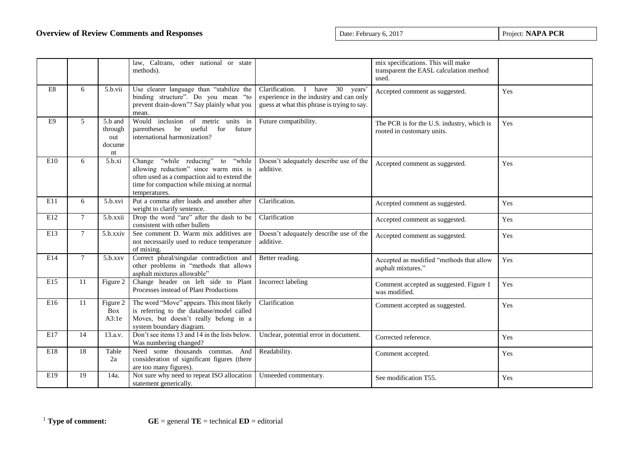|     |        |                                           | law, Caltrans, other national or state<br>methods).                                                                                                                                           |                                                                                                                                          | mix specifications. This will make<br>transparent the EASL calculation method<br>used. |     |
|-----|--------|-------------------------------------------|-----------------------------------------------------------------------------------------------------------------------------------------------------------------------------------------------|------------------------------------------------------------------------------------------------------------------------------------------|----------------------------------------------------------------------------------------|-----|
| E8  | 6      | 5.b.vii                                   | Use clearer language than "stabilize the<br>binding structure". Do you mean "to<br>prevent drain-down"? Say plainly what you<br>mean.                                                         | Clarification. I have 30<br>years <sup>?</sup><br>experience in the industry and can only<br>guess at what this phrase is trying to say. | Accepted comment as suggested.                                                         | Yes |
| E9  | 5      | 5.b and<br>through<br>out<br>docume<br>nt | Would inclusion of metric units in<br>parentheses be useful<br>for future<br>international harmonization?                                                                                     | Future compatibility.                                                                                                                    | The PCR is for the U.S. industry, which is<br>rooted in customary units.               | Yes |
| E10 | 6      | 5.b.xi                                    | "while reducing" to "while"<br>Change<br>allowing reduction" since warm mix is<br>often used as a compaction aid to extend the<br>time for compaction while mixing at normal<br>temperatures. | Doesn't adequately describe use of the<br>additive.                                                                                      | Accepted comment as suggested.                                                         | Yes |
| E11 | 6      | 5.b.xvi                                   | Put a comma after loads and another after<br>weight to clarify sentence.                                                                                                                      | Clarification.                                                                                                                           | Accepted comment as suggested.                                                         | Yes |
| E12 | $\tau$ | 5.b.xxii                                  | Drop the word "are" after the dash to be<br>consistent with other bullets                                                                                                                     | Clarification                                                                                                                            | Accepted comment as suggested.                                                         | Yes |
| E13 | $\tau$ | 5.b.xxiv                                  | See comment D. Warm mix additives are<br>not necessarily used to reduce temperature<br>of mixing.                                                                                             | Doesn't adequately describe use of the<br>additive.                                                                                      | Accepted comment as suggested.                                                         | Yes |
| E14 | $\tau$ | 5.b.xxy                                   | Correct plural/singular contradiction and<br>other problems in "methods that allows<br>asphalt mixtures allowable"                                                                            | Better reading.                                                                                                                          | Accepted as modified "methods that allow<br>asphalt mixtures."                         | Yes |
| E15 | 11     | Figure 2                                  | Change header on left side to Plant<br>Processes instead of Plant Productions                                                                                                                 | Incorrect labeling                                                                                                                       | Comment accepted as suggested. Figure 1<br>was modified.                               | Yes |
| E16 | 11     | Figure 2<br><b>Box</b><br>A3:1e           | The word "Move" appears. This most likely<br>is referring to the database/model called<br>Moves, but doesn't really belong in a<br>system boundary diagram.                                   | Clarification                                                                                                                            | Comment accepted as suggested.                                                         | Yes |
| E17 | 14     | 13.a.v.                                   | Don't see items 13 and 14 in the lists below.<br>Was numbering changed?                                                                                                                       | Unclear, potential error in document.                                                                                                    | Corrected reference.                                                                   | Yes |
| E18 | 18     | Table<br>2a                               | Need some thousands commas. And<br>consideration of significant figures (there<br>are too many figures).                                                                                      | Readability.                                                                                                                             | Comment accepted.                                                                      | Yes |
| E19 | 19     | 14a.                                      | Not sure why need to repeat ISO allocation<br>statement generically.                                                                                                                          | Unneeded commentary.                                                                                                                     | See modification T55.                                                                  | Yes |